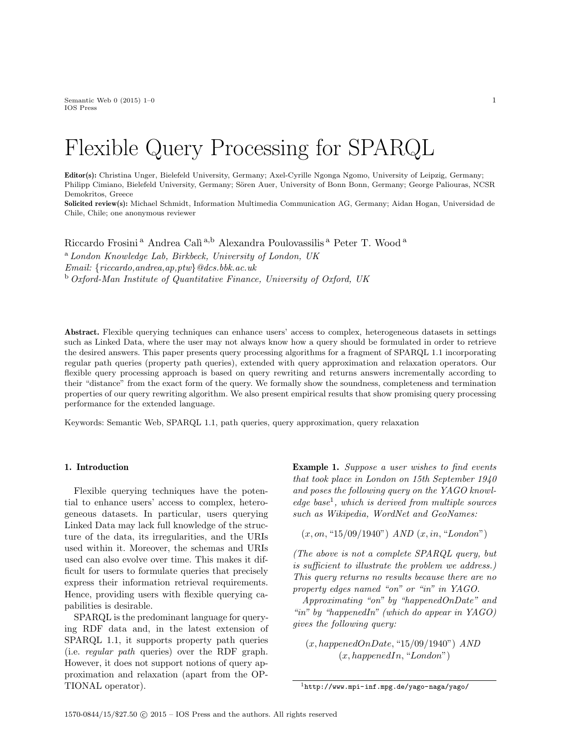Semantic Web  $0$  (2015) 1–0 1 IOS Press

# Flexible Query Processing for SPARQL

Editor(s): Christina Unger, Bielefeld University, Germany; Axel-Cyrille Ngonga Ngomo, University of Leipzig, Germany; Philipp Cimiano, Bielefeld University, Germany; Sören Auer, University of Bonn Bonn, Germany; George Paliouras, NCSR Demokritos, Greece

Solicited review(s): Michael Schmidt, Information Multimedia Communication AG, Germany; Aidan Hogan, Universidad de Chile, Chile; one anonymous reviewer

Riccardo Frosini<sup>a</sup> Andrea Calì<sup>a,b</sup> Alexandra Poulovassilis<sup>a</sup> Peter T. Wood<sup>a</sup> <sup>a</sup> London Knowledge Lab, Birkbeck, University of London, UK Email: {riccardo,andrea,ap,ptw}@dcs.bbk.ac.uk <sup>b</sup> Oxford-Man Institute of Quantitative Finance, University of Oxford, UK

Abstract. Flexible querying techniques can enhance users' access to complex, heterogeneous datasets in settings such as Linked Data, where the user may not always know how a query should be formulated in order to retrieve the desired answers. This paper presents query processing algorithms for a fragment of SPARQL 1.1 incorporating regular path queries (property path queries), extended with query approximation and relaxation operators. Our flexible query processing approach is based on query rewriting and returns answers incrementally according to their "distance" from the exact form of the query. We formally show the soundness, completeness and termination properties of our query rewriting algorithm. We also present empirical results that show promising query processing performance for the extended language.

Keywords: Semantic Web, SPARQL 1.1, path queries, query approximation, query relaxation

#### 1. Introduction

Flexible querying techniques have the potential to enhance users' access to complex, heterogeneous datasets. In particular, users querying Linked Data may lack full knowledge of the structure of the data, its irregularities, and the URIs used within it. Moreover, the schemas and URIs used can also evolve over time. This makes it difficult for users to formulate queries that precisely express their information retrieval requirements. Hence, providing users with flexible querying capabilities is desirable.

SPARQL is the predominant language for querying RDF data and, in the latest extension of SPARQL 1.1, it supports property path queries (i.e. regular path queries) over the RDF graph. However, it does not support notions of query approximation and relaxation (apart from the OP-TIONAL operator).

Example 1. Suppose a user wishes to find events that took place in London on 15th September 1940 and poses the following query on the YAGO knowl $edge base<sup>1</sup>$ , which is derived from multiple sources such as Wikipedia, WordNet and GeoNames:

 $(x, on, "15/09/1940")$  AND  $(x, in, "London")$ 

(The above is not a complete SPARQL query, but is sufficient to illustrate the problem we address.) This query returns no results because there are no property edges named "on" or "in" in YAGO.

Approximating "on" by "happenedOnDate" and "in" by "happenedIn" (which do appear in YAGO) gives the following query:

 $(x, happenedOnDate, "15/09/1940")$  AND  $(x, happenedIn, "London")$ 

 $^{\rm 1}$  http://www.mpi-inf.mpg.de/yago-naga/yago/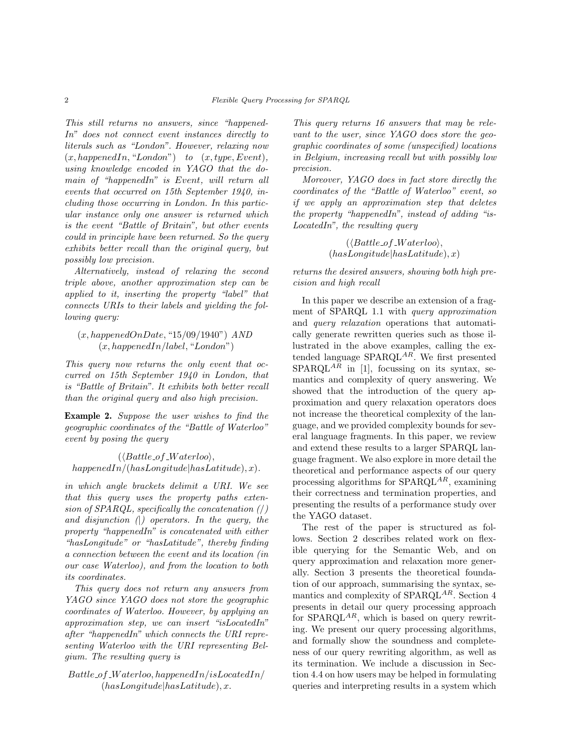This still returns no answers, since "happened-In" does not connect event instances directly to literals such as "London". However, relaxing now  $(x, happenedIn, "London")$  to  $(x, type, Event)$ , using knowledge encoded in YAGO that the domain of "happenedIn" is Event, will return all events that occurred on 15th September 1940, including those occurring in London. In this particular instance only one answer is returned which is the event "Battle of Britain", but other events could in principle have been returned. So the query exhibits better recall than the original query, but possibly low precision.

Alternatively, instead of relaxing the second triple above, another approximation step can be applied to it, inserting the property "label" that connects URIs to their labels and yielding the following query:

 $(x, happenedOnDate, "15/09/1940")$  AND  $(x, happenedIn/label, "London")$ 

This query now returns the only event that occurred on 15th September 1940 in London, that is "Battle of Britain". It exhibits both better recall than the original query and also high precision.

Example 2. Suppose the user wishes to find the geographic coordinates of the "Battle of Waterloo" event by posing the query

 $(\langle Battle\_of\_Waterloo \rangle,$  $happedIn/(hasLongitude|hasLatitude), x).$ 

in which angle brackets delimit a URI. We see that this query uses the property paths extension of  $SPARQL$ , specifically the concatenation  $\binom{1}{k}$ and disjunction  $\Box$  operators. In the query, the property "happenedIn" is concatenated with either "hasLongitude" or "hasLatitude", thereby finding a connection between the event and its location (in our case Waterloo), and from the location to both its coordinates.

This query does not return any answers from YAGO since YAGO does not store the geographic coordinates of Waterloo. However, by applying an approximation step, we can insert "isLocatedIn" after "happenedIn" which connects the URI representing Waterloo with the URI representing Belgium. The resulting query is

 $Battle_of_Waterloo, happenedIn/isLocatedIn/$  $(hasLongitude|hasLatitude), x.$ 

This query returns 16 answers that may be relevant to the user, since YAGO does store the geographic coordinates of some (unspecified) locations in Belgium, increasing recall but with possibly low precision.

Moreover, YAGO does in fact store directly the coordinates of the "Battle of Waterloo" event, so if we apply an approximation step that deletes the property "happenedIn", instead of adding "is-LocatedIn", the resulting query

> $(\langle Battle\_of\_Waterloo \rangle,$  $(hasLongitude|hasLatitude), x)$

returns the desired answers, showing both high precision and high recall

In this paper we describe an extension of a fragment of SPARQL 1.1 with query approximation and query relaxation operations that automatically generate rewritten queries such as those illustrated in the above examples, calling the extended language  $SPARQL^{AR}$ . We first presented  $SPARQL^{A\tilde{R}}$  in [1], focussing on its syntax, semantics and complexity of query answering. We showed that the introduction of the query approximation and query relaxation operators does not increase the theoretical complexity of the language, and we provided complexity bounds for several language fragments. In this paper, we review and extend these results to a larger SPARQL language fragment. We also explore in more detail the theoretical and performance aspects of our query processing algorithms for  $SPARQL^{AR}$ , examining their correctness and termination properties, and presenting the results of a performance study over the YAGO dataset.

The rest of the paper is structured as follows. Section 2 describes related work on flexible querying for the Semantic Web, and on query approximation and relaxation more generally. Section 3 presents the theoretical foundation of our approach, summarising the syntax, semantics and complexity of SPARQL<sup>AR</sup>. Section 4 presents in detail our query processing approach for  $SPARQL^{AR}$ , which is based on query rewriting. We present our query processing algorithms, and formally show the soundness and completeness of our query rewriting algorithm, as well as its termination. We include a discussion in Section 4.4 on how users may be helped in formulating queries and interpreting results in a system which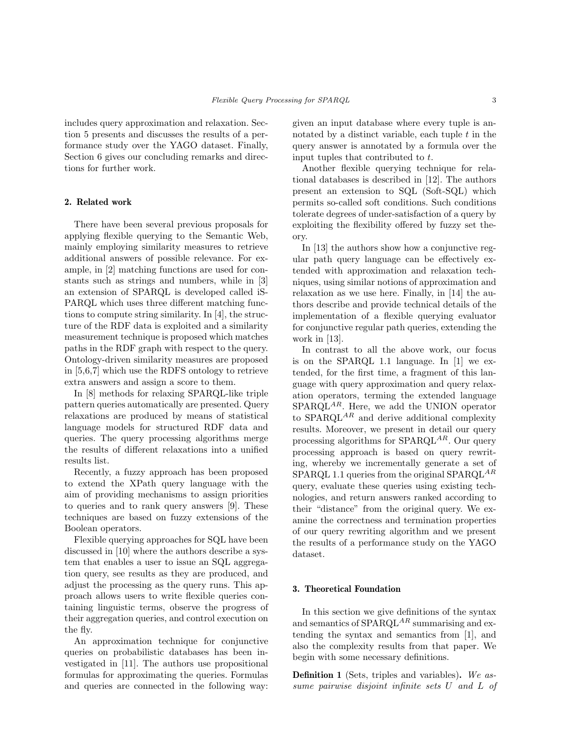includes query approximation and relaxation. Section 5 presents and discusses the results of a performance study over the YAGO dataset. Finally, Section 6 gives our concluding remarks and directions for further work.

# 2. Related work

There have been several previous proposals for applying flexible querying to the Semantic Web, mainly employing similarity measures to retrieve additional answers of possible relevance. For example, in [2] matching functions are used for constants such as strings and numbers, while in [3] an extension of SPARQL is developed called iS-PARQL which uses three different matching functions to compute string similarity. In [4], the structure of the RDF data is exploited and a similarity measurement technique is proposed which matches paths in the RDF graph with respect to the query. Ontology-driven similarity measures are proposed in [5,6,7] which use the RDFS ontology to retrieve extra answers and assign a score to them.

In [8] methods for relaxing SPARQL-like triple pattern queries automatically are presented. Query relaxations are produced by means of statistical language models for structured RDF data and queries. The query processing algorithms merge the results of different relaxations into a unified results list.

Recently, a fuzzy approach has been proposed to extend the XPath query language with the aim of providing mechanisms to assign priorities to queries and to rank query answers [9]. These techniques are based on fuzzy extensions of the Boolean operators.

Flexible querying approaches for SQL have been discussed in [10] where the authors describe a system that enables a user to issue an SQL aggregation query, see results as they are produced, and adjust the processing as the query runs. This approach allows users to write flexible queries containing linguistic terms, observe the progress of their aggregation queries, and control execution on the fly.

An approximation technique for conjunctive queries on probabilistic databases has been investigated in [11]. The authors use propositional formulas for approximating the queries. Formulas and queries are connected in the following way: given an input database where every tuple is annotated by a distinct variable, each tuple  $t$  in the query answer is annotated by a formula over the input tuples that contributed to t.

Another flexible querying technique for relational databases is described in [12]. The authors present an extension to SQL (Soft-SQL) which permits so-called soft conditions. Such conditions tolerate degrees of under-satisfaction of a query by exploiting the flexibility offered by fuzzy set theory.

In [13] the authors show how a conjunctive regular path query language can be effectively extended with approximation and relaxation techniques, using similar notions of approximation and relaxation as we use here. Finally, in [14] the authors describe and provide technical details of the implementation of a flexible querying evaluator for conjunctive regular path queries, extending the work in [13].

In contrast to all the above work, our focus is on the SPARQL 1.1 language. In [1] we extended, for the first time, a fragment of this language with query approximation and query relaxation operators, terming the extended language  $SPARQL^{AR}$ . Here, we add the UNION operator to  $SPARQL^{AR}$  and derive additional complexity results. Moreover, we present in detail our query processing algorithms for  $SPARQL^{AR}$ . Our query processing approach is based on query rewriting, whereby we incrementally generate a set of SPARQL 1.1 queries from the original SPARQL<sup>AR</sup> query, evaluate these queries using existing technologies, and return answers ranked according to their "distance" from the original query. We examine the correctness and termination properties of our query rewriting algorithm and we present the results of a performance study on the YAGO dataset.

# 3. Theoretical Foundation

In this section we give definitions of the syntax and semantics of  $SPARQL^{AR}$  summarising and extending the syntax and semantics from [1], and also the complexity results from that paper. We begin with some necessary definitions.

Definition 1 (Sets, triples and variables). We assume pairwise disjoint infinite sets U and L of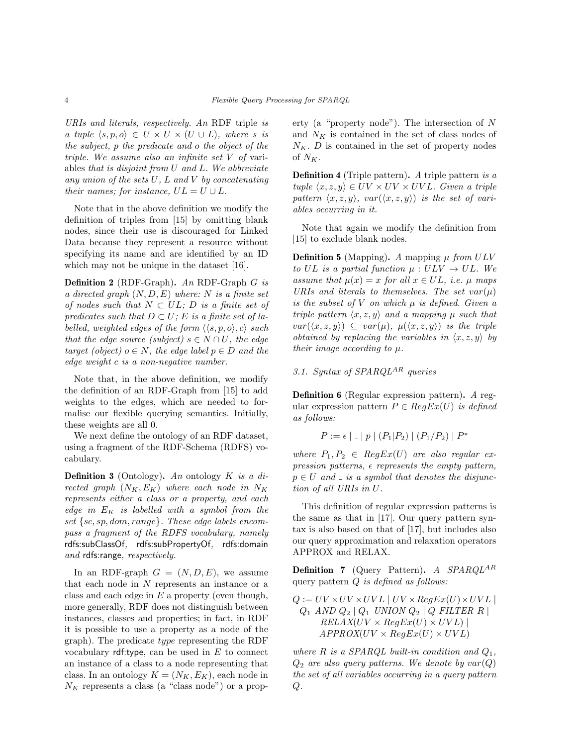URIs and literals, respectively. An RDF triple is a tuple  $\langle s, p, o \rangle \in U \times U \times (U \cup L)$ , where s is the subject, p the predicate and o the object of the triple. We assume also an infinite set V of variables that is disjoint from U and L. We abbreviate any union of the sets  $U, L$  and  $V$  by concatenating their names; for instance,  $UL = U \cup L$ .

Note that in the above definition we modify the definition of triples from [15] by omitting blank nodes, since their use is discouraged for Linked Data because they represent a resource without specifying its name and are identified by an ID which may not be unique in the dataset [16].

Definition 2 (RDF-Graph). An RDF-Graph G is a directed graph  $(N, D, E)$  where: N is a finite set of nodes such that  $N \subset UL; D$  is a finite set of predicates such that  $D \subset U$ ; E is a finite set of labelled, weighted edges of the form  $\langle \langle s, p, o \rangle, c \rangle$  such that the edge source (subject)  $s \in N \cap U$ , the edge target (object)  $o \in N$ , the edge label  $p \in D$  and the edge weight c is a non-negative number.

Note that, in the above definition, we modify the definition of an RDF-Graph from [15] to add weights to the edges, which are needed to formalise our flexible querying semantics. Initially, these weights are all 0.

We next define the ontology of an RDF dataset, using a fragment of the RDF-Schema (RDFS) vocabulary.

**Definition 3** (Ontology). An ontology  $K$  is a directed graph  $(N_K, E_K)$  where each node in  $N_K$ represents either a class or a property, and each edge in  $E_K$  is labelled with a symbol from the set  $\{sc, sp, dom, range\}$ . These edge labels encompass a fragment of the RDFS vocabulary, namely rdfs:subClassOf, rdfs:subPropertyOf, rdfs:domain and rdfs:range, respectively.

In an RDF-graph  $G = (N, D, E)$ , we assume that each node in N represents an instance or a class and each edge in  $E$  a property (even though, more generally, RDF does not distinguish between instances, classes and properties; in fact, in RDF it is possible to use a property as a node of the graph). The predicate type representing the RDF vocabulary  $\mathsf{rdf}$ :type, can be used in  $E$  to connect an instance of a class to a node representing that class. In an ontology  $K = (N_K, E_K)$ , each node in  $N_K$  represents a class (a "class node") or a property (a "property node"). The intersection of N and  $N_K$  is contained in the set of class nodes of  $N_K$ . D is contained in the set of property nodes of  $N_K$ .

**Definition 4** (Triple pattern). A triple pattern is  $a$ tuple  $\langle x, z, y \rangle \in UV \times UV \times UVL$ . Given a triple pattern  $\langle x, z, y \rangle$ , var $(\langle x, z, y \rangle)$  is the set of variables occurring in it.

Note that again we modify the definition from [15] to exclude blank nodes.

**Definition 5** (Mapping). A mapping  $\mu$  from ULV to UL is a partial function  $\mu : ULV \rightarrow UL$ . We assume that  $\mu(x) = x$  for all  $x \in UL$ , i.e.  $\mu$  maps URIs and literals to themselves. The set  $var(\mu)$ is the subset of  $V$  on which  $\mu$  is defined. Given a triple pattern  $\langle x, z, y \rangle$  and a mapping  $\mu$  such that  $var(\langle x, z, y \rangle) \subseteq var(\mu), \mu(\langle x, z, y \rangle)$  is the triple obtained by replacing the variables in  $\langle x, z, y \rangle$  by their image according to  $\mu$ .

3.1. Syntax of  $SPARQL^{AR}$  queries

Definition 6 (Regular expression pattern). A regular expression pattern  $P \in RegEx(U)$  is defined as follows:

$$
P := \epsilon |{}_{-} | p | (P_1 | P_2) | (P_1 / P_2) | P^*
$$

where  $P_1, P_2 \in RegEx(U)$  are also regular expression patterns,  $\epsilon$  represents the empty pattern,  $p \in U$  and  $\Delta$  is a symbol that denotes the disjunction of all URIs in U.

This definition of regular expression patterns is the same as that in [17]. Our query pattern syntax is also based on that of [17], but includes also our query approximation and relaxation operators APPROX and RELAX.

**Definition 7** (Query Pattern). A  $SPARQL<sup>AR</sup>$ query pattern  $Q$  is defined as follows:

$$
Q := UV \times UV \times UVL \mid UV \times RegEx(U) \times UVL \mid
$$
  
\n
$$
Q_1 \text{ AND } Q_2 \mid Q_1 \text{ UNION } Q_2 \mid Q \text{ FILTER } R \mid
$$
  
\n
$$
RELAX(UV \times RegEx(U) \times UVL) \mid
$$
  
\n
$$
APPROX(UV \times RegEx(U) \times UVL)
$$

where  $R$  is a SPARQL built-in condition and  $Q_1$ ,  $Q_2$  are also query patterns. We denote by  $var(Q)$ the set of all variables occurring in a query pattern  $Q$ .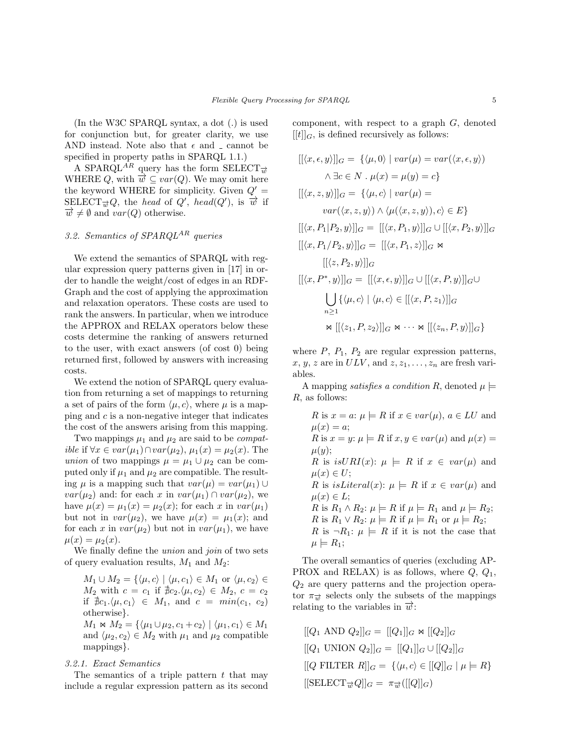(In the W3C SPARQL syntax, a dot (.) is used for conjunction but, for greater clarity, we use AND instead. Note also that  $\epsilon$  and  $\epsilon$  cannot be specified in property paths in SPARQL 1.1.)

A SPARQL<sup>AR</sup> query has the form SELECT<sub>→</sub> WHERE Q, with  $\overrightarrow{w} \subseteq var(Q)$ . We may omit here the keyword WHERE for simplicity. Given  $Q' =$ SELECT $\overrightarrow{w}Q$ , the head of Q', head(Q'), is  $\overrightarrow{w}$  if  $\overrightarrow{w} \neq \emptyset$  and  $var(Q)$  otherwise.

# 3.2. Semantics of  $SPARQL^{AR}$  queries

We extend the semantics of SPARQL with regular expression query patterns given in [17] in order to handle the weight/cost of edges in an RDF-Graph and the cost of applying the approximation and relaxation operators. These costs are used to rank the answers. In particular, when we introduce the APPROX and RELAX operators below these costs determine the ranking of answers returned to the user, with exact answers (of cost 0) being returned first, followed by answers with increasing costs.

We extend the notion of SPARQL query evaluation from returning a set of mappings to returning a set of pairs of the form  $\langle \mu, c \rangle$ , where  $\mu$  is a mapping and  $c$  is a non-negative integer that indicates the cost of the answers arising from this mapping.

Two mappings  $\mu_1$  and  $\mu_2$  are said to be *compatible* if  $\forall x \in var(\mu_1) \cap var(\mu_2), \mu_1(x) = \mu_2(x)$ . The union of two mappings  $\mu = \mu_1 \cup \mu_2$  can be computed only if  $\mu_1$  and  $\mu_2$  are compatible. The resulting  $\mu$  is a mapping such that  $var(\mu) = var(\mu_1) \cup$  $var(\mu_2)$  and: for each x in  $var(\mu_1) \cap var(\mu_2)$ , we have  $\mu(x) = \mu_1(x) = \mu_2(x)$ ; for each x in  $var(\mu_1)$ but not in  $var(\mu_2)$ , we have  $\mu(x) = \mu_1(x)$ ; and for each x in  $var(\mu_2)$  but not in  $var(\mu_1)$ , we have  $\mu(x) = \mu_2(x)$ .

We finally define the *union* and *join* of two sets of query evaluation results,  $M_1$  and  $M_2$ :

 $M_1 \cup M_2 = \{ \langle \mu, c \rangle \mid \langle \mu, c_1 \rangle \in M_1 \text{ or } \langle \mu, c_2 \rangle \in$  $M_2$  with  $c = c_1$  if  $\sharp c_2.\langle \mu, c_2 \rangle \in M_2$ ,  $c = c_2$ if  $\nexists c_1.\langle \mu, c_1 \rangle \in M_1$ , and  $c = \min(c_1, c_2)$ otherwise}.

 $M_1 \Join M_2 = {\langle \mu_1 \cup \mu_2, c_1 + c_2 \rangle \mid \langle \mu_1, c_1 \rangle \in M_1$ and  $\langle \mu_2, c_2 \rangle \in M_2$  with  $\mu_1$  and  $\mu_2$  compatible mappings}.

## 3.2.1. Exact Semantics

The semantics of a triple pattern  $t$  that may include a regular expression pattern as its second component, with respect to a graph G, denoted  $[[t]]_G$ , is defined recursively as follows:

$$
[[\langle x, \epsilon, y \rangle]]_G = {\langle \mu, 0 \rangle \mid var(\mu) = var(\langle x, \epsilon, y \rangle)}
$$
  
\n
$$
\wedge \exists c \in N \cdot \mu(x) = \mu(y) = c}
$$
  
\n
$$
[[\langle x, z, y \rangle]]_G = {\langle \mu, c \rangle \mid var(\mu) =}
$$
  
\n
$$
var(\langle x, z, y \rangle) \wedge \langle \mu(\langle x, z, y \rangle), c \rangle \in E}
$$
  
\n
$$
[[\langle x, P_1 | P_2, y \rangle]]_G = [[\langle x, P_1, y \rangle]]_G \cup [[\langle x, P_2, y \rangle]]_G
$$
  
\n
$$
[[\langle z, P_2, y \rangle]]_G = [[\langle x, \epsilon, y \rangle]]_G \cup [[\langle x, P, y \rangle]]_G \cup
$$
  
\n
$$
[[\langle x, P^*, y \rangle]]_G = [[\langle x, \epsilon, y \rangle]]_G \cup [[\langle x, P, y \rangle]]_G
$$
  
\n
$$
\bigcup_{n \ge 1} {\langle \mu, c \rangle \mid \langle \mu, c \rangle \in [[\langle x, P, z_1 \rangle]]_G}
$$
  
\n
$$
\bowtie [[\langle z_1, P, z_2 \rangle]]_G \bowtie \cdots \bowtie [[\langle z_n, P, y \rangle]]_G}
$$

where  $P$ ,  $P_1$ ,  $P_2$  are regular expression patterns, x, y, z are in  $ULV$ , and  $z, z_1, \ldots, z_n$  are fresh variables.

A mapping *satisfies a condition R*, denoted  $\mu$   $=$ R, as follows:

R is  $x = a$ :  $\mu \models R$  if  $x \in var(\mu)$ ,  $a \in LU$  and  $\mu(x) = a;$ R is  $x = y$ :  $\mu \models R$  if  $x, y \in var(\mu)$  and  $\mu(x) =$  $\mu(y);$ R is  $isURI(x): \mu \models R$  if  $x \in var(\mu)$  and  $\mu(x) \in U;$ R is is Literal(x):  $\mu \models R$  if  $x \in var(\mu)$  and  $\mu(x) \in L$ ; R is  $R_1 \wedge R_2$ :  $\mu \models R$  if  $\mu \models R_1$  and  $\mu \models R_2$ ; R is  $R_1 \vee R_2$ :  $\mu \models R$  if  $\mu \models R_1$  or  $\mu \models R_2$ ; R is  $\neg R_1: \mu \models R$  if it is not the case that  $\mu \models R_1;$ 

The overall semantics of queries (excluding AP-PROX and RELAX) is as follows, where  $Q, Q_1$ ,  $Q_2$  are query patterns and the projection operator  $\pi_{\overrightarrow{w}}$  selects only the subsets of the mappings relating to the variables in  $\vec{w}$ :

 $[[Q_1 \text{ AND } Q_2]]_G = [[Q_1]]_G \bowtie [[Q_2]]_G$  $[[Q_1 \text{ UNION } Q_2]]_G = [[Q_1]]_G \cup [[Q_2]]_G$  $[Q \text{ FILTER } R]$  $_G = {\langle \mu, c \rangle \in [[Q]]_G \mid \mu \models R}$  $[[\text{SELECT}_{\overrightarrow{w}}Q]]_G = \pi_{\overrightarrow{w}}([[Q]]_G)$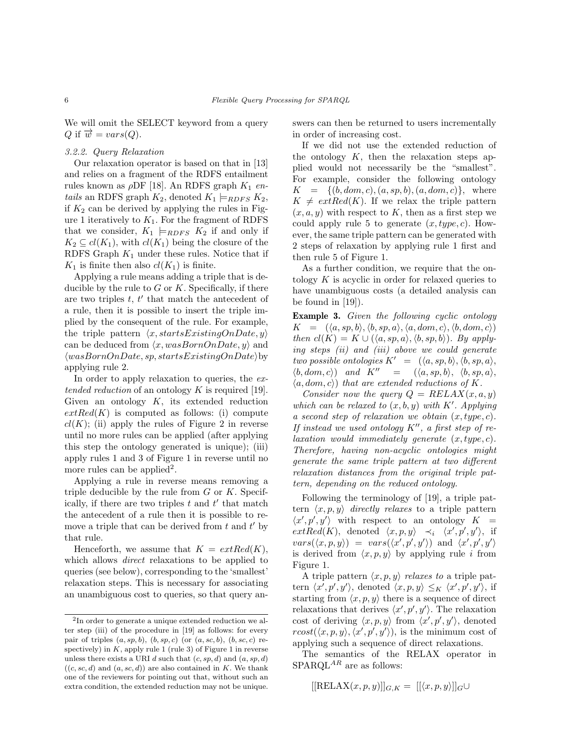We will omit the SELECT keyword from a query Q if  $\overrightarrow{w} = vars(Q)$ .

# 3.2.2. Query Relaxation

Our relaxation operator is based on that in [13] and relies on a fragment of the RDFS entailment rules known as  $\rho$ DF [18]. An RDFS graph  $K_1$  entails an RDFS graph  $K_2$ , denoted  $K_1 \models_{RDFS} K_2$ , if  $K_2$  can be derived by applying the rules in Figure 1 iteratively to  $K_1$ . For the fragment of RDFS that we consider,  $K_1 \models_{RDFS} K_2$  if and only if  $K_2 \subseteq cl(K_1)$ , with  $cl(K_1)$  being the closure of the RDFS Graph  $K_1$  under these rules. Notice that if  $K_1$  is finite then also  $cl(K_1)$  is finite.

Applying a rule means adding a triple that is deducible by the rule to  $G$  or  $K$ . Specifically, if there are two triples  $t, t'$  that match the antecedent of a rule, then it is possible to insert the triple implied by the consequent of the rule. For example, the triple pattern  $\langle x, startsExistingOnDate, y \rangle$ can be deduced from  $\langle x, wasBornOnDate, y \rangle$  and  $\langle wasBornOnDate, sp, startsExistingOnDate \rangle$ applying rule 2.

In order to apply relaxation to queries, the  $ex$ tended reduction of an ontology  $K$  is required [19]. Given an ontology  $K$ , its extended reduction  $extRed(K)$  is computed as follows: (i) compute  $cl(K)$ ; (ii) apply the rules of Figure 2 in reverse until no more rules can be applied (after applying this step the ontology generated is unique); (iii) apply rules 1 and 3 of Figure 1 in reverse until no more rules can be applied<sup>2</sup>.

Applying a rule in reverse means removing a triple deducible by the rule from  $G$  or  $K$ . Specifically, if there are two triples  $t$  and  $t'$  that match the antecedent of a rule then it is possible to remove a triple that can be derived from  $t$  and  $t'$  by that rule.

Henceforth, we assume that  $K = extRed(K)$ , which allows *direct* relaxations to be applied to queries (see below), corresponding to the 'smallest' relaxation steps. This is necessary for associating an unambiguous cost to queries, so that query answers can then be returned to users incrementally in order of increasing cost.

If we did not use the extended reduction of the ontology  $K$ , then the relaxation steps applied would not necessarily be the "smallest". For example, consider the following ontology  $K = \{(b, dom, c), (a, sp, b), (a, dom, c)\},\$  where  $K \neq \text{extRed}(K)$ . If we relax the triple pattern  $(x, a, y)$  with respect to K, then as a first step we could apply rule 5 to generate  $(x, type, c)$ . However, the same triple pattern can be generated with 2 steps of relaxation by applying rule 1 first and then rule 5 of Figure 1.

As a further condition, we require that the ontology  $K$  is acyclic in order for relaxed queries to have unambiguous costs (a detailed analysis can be found in [19]).

Example 3. Given the following cyclic ontology  $K = (\langle a, sp, b \rangle, \langle b, sp, a \rangle, \langle a, dom, c \rangle, \langle b, dom, c \rangle)$ then  $cl(K) = K \cup (\langle a, sp, a \rangle, \langle b, sp, b \rangle)$ . By applying steps (ii) and (iii) above we could generate two possible ontologies  $K' = (\langle a, sp, b \rangle, \langle b, sp, a \rangle,$  $\langle b, dom, c \rangle$  and  $K'' = \langle \langle a, sp, b \rangle, \langle b, sp, a \rangle,$  $\langle a, dom, c \rangle$  that are extended reductions of K.

Consider now the query  $Q = RELAX(x, a, y)$ which can be relaxed to  $(x, b, y)$  with K'. Applying a second step of relaxation we obtain  $(x, type, c)$ . If instead we used ontology  $K''$ , a first step of relaxation would immediately generate  $(x, type, c)$ . Therefore, having non-acyclic ontologies might generate the same triple pattern at two different relaxation distances from the original triple pattern, depending on the reduced ontology.

Following the terminology of [19], a triple pattern  $\langle x, p, y \rangle$  directly relaxes to a triple pattern  $\langle x', p', y' \rangle$  with respect to an ontology  $K =$  $extRed(K)$ , denoted  $\langle x, p, y \rangle \prec_i \langle x', p', y' \rangle$ , if  $vars(\langle x, p, y \rangle) = vars(\langle x', p', y' \rangle)$  and  $\langle x', p', y' \rangle$ is derived from  $\langle x, p, y \rangle$  by applying rule i from Figure 1.

A triple pattern  $\langle x, p, y \rangle$  relaxes to a triple pattern  $\langle x', p', y' \rangle$ , denoted  $\langle x, p, y \rangle \leq_K \langle x', p', y' \rangle$ , if starting from  $\langle x, p, y \rangle$  there is a sequence of direct relaxations that derives  $\langle x', p', y' \rangle$ . The relaxation cost of deriving  $\langle x, p, y \rangle$  from  $\langle x', p', y' \rangle$ , denoted  $\text{rcost}(\langle x, p, y \rangle, \langle x', p', y' \rangle)$ , is the minimum cost of applying such a sequence of direct relaxations.

The semantics of the RELAX operator in  $SPARQL^{AR}$  are as follows:

$$
[[RELAX(x, p, y)]]_{G,K} = [[\langle x, p, y \rangle]]_G \cup
$$

<sup>2</sup> In order to generate a unique extended reduction we alter step (iii) of the procedure in [19] as follows: for every pair of triples  $(a, sp, b), (b, sp, c)$  (or  $(a, sc, b), (b, sc, c)$  respectively) in  $K$ , apply rule 1 (rule 3) of Figure 1 in reverse unless there exists a URI d such that  $(c, sp, d)$  and  $(a, sp, d)$  $((c, sc, d)$  and  $(a, sc, d))$  are also contained in K. We thank one of the reviewers for pointing out that, without such an extra condition, the extended reduction may not be unique.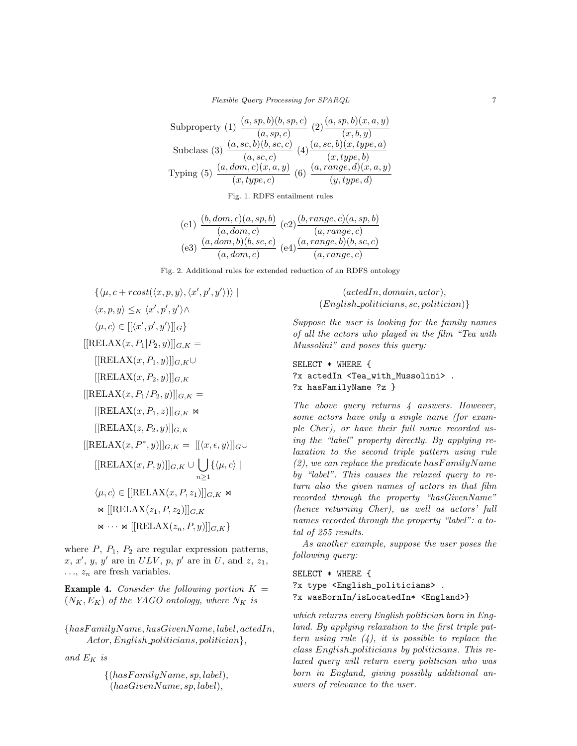Flexible Query Processing for SPARQL 7

Subproperty (1) 
$$
\frac{(a, sp, b)(b, sp, c)}{(a, sp, c)} (2) \frac{(a, sp, b)(x, a, y)}{(x, b, y)}
$$
  
Subclass (3) 
$$
\frac{(a, sc, b)(b, sc, c)}{(a, sc, c)} (4) \frac{(a, sc, b)(x, type, a)}{(x, type, b)}
$$
  
Typing (5) 
$$
\frac{(a, dom, c)(x, a, y)}{(x, type, c)} (6) \frac{(a, range, d)(x, a, y)}{(y, type, d)}
$$

Fig. 1. RDFS entailment rules

$$
\begin{array}{c} \text{(e1)} \ \frac{(b, dom, c)(a, sp, b)}{(a, dom, c)} \\ \text{(e2)} \ \frac{(b, range, c)(a, sp, b)}{(a, range, c)} \\ \text{(e3)} \ \frac{(a, dom, b)(b, sc, c)}{(a, dom, c)} \\ \text{(e4)} \ \frac{(a, range, b)(b, sc, c)}{(a, range, c)} \end{array}
$$

Fig. 2. Additional rules for extended reduction of an RDFS ontology

$$
\{\langle \mu, c + root(\langle x, p, y \rangle, \langle x', p', y' \rangle) \rangle \mid
$$
  

$$
\langle x, p, y \rangle \leq_K \langle x', p', y' \rangle \land
$$
  

$$
\langle \mu, c \rangle \in [[\langle x', p', y' \rangle]]_G\}
$$
  
[[RELAX(x, P<sub>1</sub>|P<sub>2</sub>, y)]] $G, K =$   
[[RELAX(x, P<sub>1</sub>, y)]] $G, K \cup$   
[[RELAX(x, P<sub>2</sub>, y)]] $G, K$   
[[RELAX(x, P<sub>1</sub>/P<sub>2</sub>, y)]] $G, K \infty$   
[[RELAX(x, P<sub>1</sub>, z)]] $G, K \infty$   
[[RELAX(x, P<sub>2</sub>, y)]] $G, K \infty$   
[[RELAX(x, P<sub>2</sub>, y)]] $G, K \cup \bigcup_{n \geq 1} {\langle \mu, c \rangle \mid}$   

$$
\langle \mu, c \rangle \in [[RELAX(x, P, z_1)]]_{G, K} \infty
$$
  

$$
\bowtie [[RELAX(z1, P, z2)]]G, K
$$
  

$$
\bowtie ... \bowtie [[RELAX(zn, P, y)]]G, K
$$

where  $P$ ,  $P_1$ ,  $P_2$  are regular expression patterns,  $x, x', y, y'$  are in  $ULV$ , p, p' are in U, and z, z<sub>1</sub>,  $..., z_n$  are fresh variables.

**Example 4.** Consider the following portion  $K =$  $(N_K, E_K)$  of the YAGO ontology, where  $N_K$  is

 ${has Family Name, has Given Name, label, actedIn,$ Actor, English\_politicians, politician $\},\$ 

and  $E_K$  is

 $\{(has FamilyName, sp, label),\}$  $(hasGivenName, sp, label),$ 

 $(\textit{actedIn}, \textit{domain}, \textit{actor}).$  $(English\_politicians, sc, politician)$ }

Suppose the user is looking for the family names of all the actors who played in the film "Tea with Mussolini" and poses this query:

```
SELECT * WHERE {
?x actedIn <Tea_with_Mussolini> .
?x hasFamilyName ?z }
```
The above query returns  $\frac{1}{4}$  answers. However, some actors have only a single name (for example Cher), or have their full name recorded using the "label" property directly. By applying relaxation to the second triple pattern using rule  $(2)$ , we can replace the predicate has Family Name by "label". This causes the relaxed query to return also the given names of actors in that film recorded through the property "hasGivenName" (hence returning Cher), as well as actors' full names recorded through the property "label": a total of 255 results.

As another example, suppose the user poses the following query:

SELECT \* WHERE { ?x type <English\_politicians> . ?x wasBornIn/isLocatedIn\* <England>}

which returns every English politician born in England. By applying relaxation to the first triple pattern using rule  $(4)$ , it is possible to replace the class English politicians by politicians. This relaxed query will return every politician who was born in England, giving possibly additional answers of relevance to the user.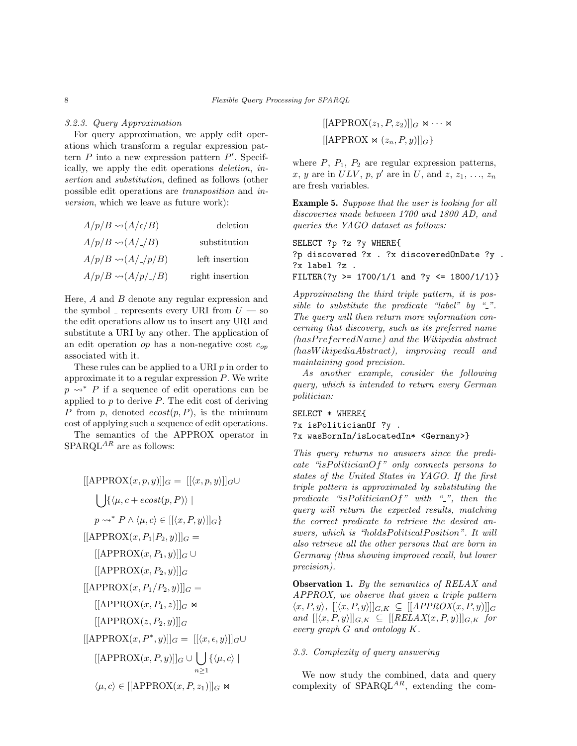#### 3.2.3. Query Approximation

For query approximation, we apply edit operations which transform a regular expression pattern  $P$  into a new expression pattern  $P'$ . Specifically, we apply the edit operations deletion, insertion and substitution, defined as follows (other possible edit operations are transposition and inversion, which we leave as future work):

| $A/p/B \rightsquigarrow (A/\epsilon/B)$ | deletion        |
|-----------------------------------------|-----------------|
| $A/p/B \rightsquigarrow (A/-/B)$        | substitution    |
| $A/p/B \rightsquigarrow (A/-/p/B)$      | left insertion  |
| $A/p/B \sim (A/p/_{\mathit{-}}/B)$      | right insertion |

Here,  $A$  and  $B$  denote any regular expression and the symbol - represents every URI from  $U$  — so the edit operations allow us to insert any URI and substitute a URI by any other. The application of an edit operation op has a non-negative cost  $c_{op}$ associated with it.

These rules can be applied to a URI  $p$  in order to approximate it to a regular expression  $P$ . We write  $p \rightsquigarrow^* P$  if a sequence of edit operations can be applied to  $p$  to derive  $P$ . The edit cost of deriving P from p, denoted  $\epsilon cost(p, P)$ , is the minimum cost of applying such a sequence of edit operations.

The semantics of the APPROX operator in  $\mbox{SPARQL}^{AR}$  are as follows:

$$
[[APPROX(x, p, y)]]_G = [[\langle x, p, y \rangle]]_G \cup
$$
  

$$
\bigcup \{ \langle \mu, c + ecost(p, P) \rangle \mid
$$
  

$$
p \leadsto^* P \land \langle \mu, c \rangle \in [[\langle x, P, y \rangle]]_G \}
$$
  

$$
[[APPROX(x, P_1 | P_2, y)]]_G \cup
$$
  

$$
[[APPROX(x, P_1, y)]]_G \cup
$$
  

$$
[[APPROX(x, P_2, y)]]_G =
$$
  

$$
[[APPROX(x, P_1, z)]]_G \bowtie
$$
  

$$
[[APPROX(x, P_2, y)]]_G = [[\langle x, \epsilon, y \rangle]]_G \cup
$$
  

$$
[[APPROX(x, P^*, y)]]_G = [[\langle x, \epsilon, y \rangle]]_G \cup
$$
  

$$
[[APPROX(x, P, y)]]_G \cup \bigcup_{n \ge 1} {\langle \mu, c \rangle \mid}
$$
  

$$
\langle \mu, c \rangle \in [[APPROX(x, P, z_1)]]_G \bowtie
$$

 $[[APPROX(z_1, P, z_2)]]_G \bowtie \cdots \bowtie$  $[[APPROX \Join (z_n, P, y)]]_G\}$ 

where  $P$ ,  $P_1$ ,  $P_2$  are regular expression patterns, x, y are in  $ULV$ , p, p' are in U, and z,  $z_1, \ldots, z_n$ are fresh variables.

Example 5. Suppose that the user is looking for all discoveries made between 1700 and 1800 AD, and queries the YAGO dataset as follows:

SELECT ?p ?z ?y WHERE{ ?p discovered ?x . ?x discoveredOnDate ?y . ?x label ?z . FILTER(?y >= 1700/1/1 and ?y <= 1800/1/1)}

Approximating the third triple pattern, it is possible to substitute the predicate "label" by " $\lbrack$ ". The query will then return more information concerning that discovery, such as its preferred name (hasP referredN ame) and the Wikipedia abstract (hasW ikipediaAbstract), improving recall and maintaining good precision.

As another example, consider the following query, which is intended to return every German politician:

SELECT \* WHERE{ ?x isPoliticianOf ?y . ?x wasBornIn/isLocatedIn\* <Germany>}

This query returns no answers since the predicate "is Politician  $Of$ " only connects persons to states of the United States in YAGO. If the first triple pattern is approximated by substituting the predicate "isPoliticianOf" with " $\Box$ ", then the query will return the expected results, matching the correct predicate to retrieve the desired answers, which is "holdsPoliticalPosition". It will also retrieve all the other persons that are born in Germany (thus showing improved recall, but lower precision).

Observation 1. By the semantics of RELAX and APPROX, we observe that given a triple pattern  $\langle x, P, y \rangle, [[\langle x, P, y \rangle]]_{G,K} \subseteq [[APPROX(x, P, y)]]_{G}$ and  $[{\langle x, P, y \rangle}]|_{G,K} \subseteq [{RELAX(x, P, y)]]_{G,K}}$  for every graph G and ontology K.

## 3.3. Complexity of query answering

We now study the combined, data and query complexity of  $SPARGL^{AR}$ , extending the com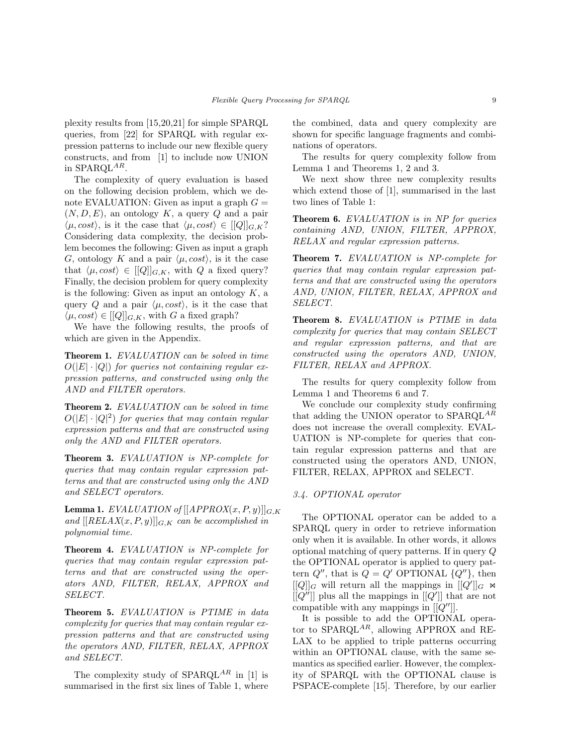plexity results from [15,20,21] for simple SPARQL queries, from [22] for SPARQL with regular expression patterns to include our new flexible query constructs, and from [1] to include now UNION in SPARQL<sup>AR</sup>.

The complexity of query evaluation is based on the following decision problem, which we denote EVALUATION: Given as input a graph  $G =$  $(N, D, E)$ , an ontology K, a query Q and a pair  $\langle \mu, cost \rangle$ , is it the case that  $\langle \mu, cost \rangle \in [[Q]]_{G,K}$ ? Considering data complexity, the decision problem becomes the following: Given as input a graph G, ontology K and a pair  $\langle \mu, cost \rangle$ , is it the case that  $\langle \mu, cost \rangle \in [[Q]]_{G,K}$ , with Q a fixed query? Finally, the decision problem for query complexity is the following: Given as input an ontology  $K$ , a query Q and a pair  $\langle \mu, cost \rangle$ , is it the case that  $\langle \mu, cost \rangle \in [[Q]]_{G,K}$ , with G a fixed graph?

We have the following results, the proofs of which are given in the Appendix.

Theorem 1. EVALUATION can be solved in time  $O(|E| \cdot |Q|)$  for queries not containing regular expression patterns, and constructed using only the AND and FILTER operators.

Theorem 2. EVALUATION can be solved in time  $O(|E| \cdot |Q|^2)$  for queries that may contain regular expression patterns and that are constructed using only the AND and FILTER operators.

Theorem 3. EVALUATION is NP-complete for queries that may contain regular expression patterns and that are constructed using only the AND and SELECT operators.

**Lemma 1.** EVALUATION of  $[[APPROX(x, P, y)]]_{G,K}$ and  $[[RELAX(x, P, y)]]_{G,K}$  can be accomplished in polynomial time.

Theorem 4. EVALUATION is NP-complete for queries that may contain regular expression patterns and that are constructed using the operators AND, FILTER, RELAX, APPROX and SELECT.

Theorem 5. EVALUATION is PTIME in data complexity for queries that may contain regular expression patterns and that are constructed using the operators AND, FILTER, RELAX, APPROX and SELECT.

The complexity study of  $SPARQL^{AR}$  in [1] is summarised in the first six lines of Table 1, where the combined, data and query complexity are shown for specific language fragments and combinations of operators.

The results for query complexity follow from Lemma 1 and Theorems 1, 2 and 3.

We next show three new complexity results which extend those of [1], summarised in the last two lines of Table 1:

Theorem 6. EVALUATION is in NP for queries containing AND, UNION, FILTER, APPROX, RELAX and regular expression patterns.

Theorem 7. EVALUATION is NP-complete for queries that may contain regular expression patterns and that are constructed using the operators AND, UNION, FILTER, RELAX, APPROX and SELECT.

Theorem 8. EVALUATION is PTIME in data complexity for queries that may contain SELECT and regular expression patterns, and that are constructed using the operators AND, UNION, FILTER, RELAX and APPROX.

The results for query complexity follow from Lemma 1 and Theorems 6 and 7.

We conclude our complexity study confirming that adding the UNION operator to  $SPARQL<sup>AR</sup>$ does not increase the overall complexity. EVAL-UATION is NP-complete for queries that contain regular expression patterns and that are constructed using the operators AND, UNION, FILTER, RELAX, APPROX and SELECT.

# 3.4. OPTIONAL operator

The OPTIONAL operator can be added to a SPARQL query in order to retrieve information only when it is available. In other words, it allows optional matching of query patterns. If in query Q the OPTIONAL operator is applied to query pattern  $Q''$ , that is  $Q = Q'$  OPTIONAL  $\{Q''\}$ , then  $[[Q]]_G$  will return all the mappings in  $[[Q']]_G \Join$  $[[Q'']]$  plus all the mappings in  $[[Q']]$  that are not compatible with any mappings in  $[[Q'']]$ .

It is possible to add the OPTIONAL operator to SPARQL<sup>AR</sup>, allowing APPROX and RE-LAX to be applied to triple patterns occurring within an OPTIONAL clause, with the same semantics as specified earlier. However, the complexity of SPARQL with the OPTIONAL clause is PSPACE-complete [15]. Therefore, by our earlier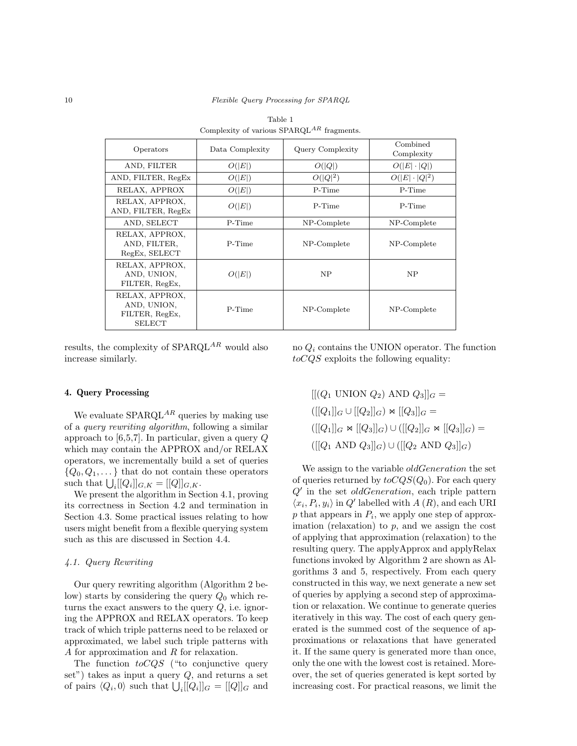| real control.                                                    |                 |                  |                        |  |
|------------------------------------------------------------------|-----------------|------------------|------------------------|--|
| Operators                                                        | Data Complexity | Query Complexity | Combined<br>Complexity |  |
| AND, FILTER                                                      | O( E )          | O( Q )           | $O( E \cdot Q )$       |  |
| AND, FILTER, RegEx                                               | O( E )          | $O( Q ^2)$       | $O( E \cdot Q ^2)$     |  |
| RELAX, APPROX                                                    | O( E )          | P-Time           | P-Time                 |  |
| RELAX, APPROX,<br>AND, FILTER, RegEx                             | O( E )          | P-Time           | P-Time                 |  |
| AND, SELECT                                                      | P-Time          | NP-Complete      | NP-Complete            |  |
| RELAX, APPROX,<br>AND, FILTER.<br>RegEx, SELECT                  | P-Time          | NP-Complete      | NP-Complete            |  |
| RELAX, APPROX,<br>AND, UNION,<br>FILTER, RegEx,                  | O( E )          | <b>NP</b>        | <b>NP</b>              |  |
| RELAX, APPROX,<br>AND, UNION,<br>FILTER, RegEx,<br><b>SELECT</b> | P-Time          | NP-Complete      | NP-Complete            |  |

Table 1 Complexity of various  $SPAROL^{AR}$  fragments.

results, the complexity of  $SPARQL^{AR}$  would also increase similarly.

#### 4. Query Processing

We evaluate  $SPARQL^{AR}$  queries by making use of a query rewriting algorithm, following a similar approach to [6,5,7]. In particular, given a query Q which may contain the APPROX and/or RELAX operators, we incrementally build a set of queries  ${Q_0, Q_1, \ldots}$  that do not contain these operators such that  $\bigcup_i [[Q_i]]_{G,K} = [[Q]]_{G,K}.$ 

We present the algorithm in Section 4.1, proving its correctness in Section 4.2 and termination in Section 4.3. Some practical issues relating to how users might benefit from a flexible querying system such as this are discussed in Section 4.4.

#### 4.1. Query Rewriting

Our query rewriting algorithm (Algorithm 2 below) starts by considering the query  $Q_0$  which returns the exact answers to the query  $Q$ , i.e. ignoring the APPROX and RELAX operators. To keep track of which triple patterns need to be relaxed or approximated, we label such triple patterns with A for approximation and R for relaxation.

The function  $to CQS$  ("to conjunctive query set") takes as input a query  $Q$ , and returns a set of pairs  $\langle Q_i, 0 \rangle$  such that  $\bigcup_i [[Q_i]]_G = [[Q]]_G$  and

no  $Q_i$  contains the UNION operator. The function toCQS exploits the following equality:

 $[[(Q_1 \text{ UNION } Q_2) \text{ AND } Q_3]]_G =$  $([[Q_1]|_G\cup [[Q_2]|_G) \Join [[Q_3]|_G =$  $([[Q_1]]_G \Join [[Q_3]]_G) \cup([[Q_2]]_G \Join [[Q_3]]_G) =$  $([[Q_1 \text{ AND } Q_3]|_G) \cup ([[Q_2 \text{ AND } Q_3]|_G)]$ 

We assign to the variable *oldGeneration* the set of queries returned by  $toCQS(Q_0)$ . For each query  $Q'$  in the set *oldGeneration*, each triple pattern  $\langle x_i, P_i, y_i \rangle$  in Q' labelled with A  $(R)$ , and each URI  $p$  that appears in  $P_i$ , we apply one step of approximation (relaxation) to  $p$ , and we assign the cost of applying that approximation (relaxation) to the resulting query. The applyApprox and applyRelax functions invoked by Algorithm 2 are shown as Algorithms 3 and 5, respectively. From each query constructed in this way, we next generate a new set of queries by applying a second step of approximation or relaxation. We continue to generate queries iteratively in this way. The cost of each query generated is the summed cost of the sequence of approximations or relaxations that have generated it. If the same query is generated more than once, only the one with the lowest cost is retained. Moreover, the set of queries generated is kept sorted by increasing cost. For practical reasons, we limit the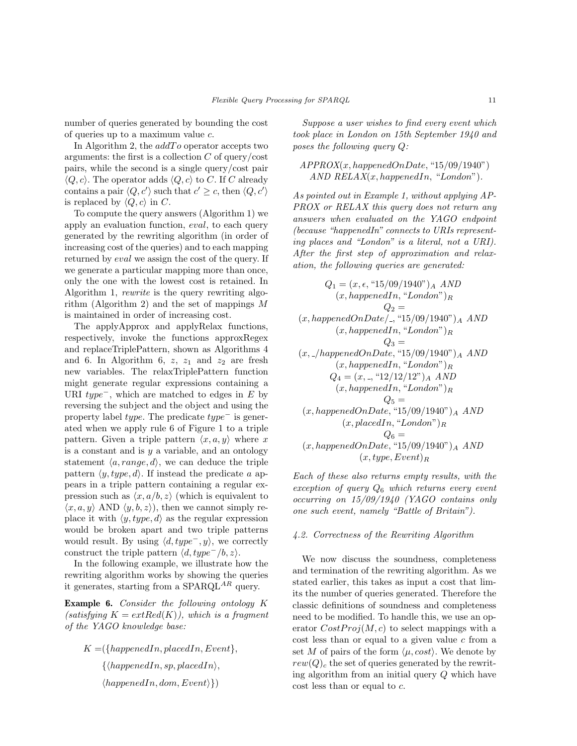number of queries generated by bounding the cost of queries up to a maximum value c.

In Algorithm 2, the  $addTo$  operator accepts two arguments: the first is a collection  $C$  of query/cost pairs, while the second is a single query/cost pair  $\langle Q, c \rangle$ . The operator adds  $\langle Q, c \rangle$  to C. If C already contains a pair  $\langle Q, c' \rangle$  such that  $c' \geq c$ , then  $\langle Q, c' \rangle$ is replaced by  $\langle Q, c \rangle$  in C.

To compute the query answers (Algorithm 1) we apply an evaluation function, eval, to each query generated by the rewriting algorithm (in order of increasing cost of the queries) and to each mapping returned by eval we assign the cost of the query. If we generate a particular mapping more than once, only the one with the lowest cost is retained. In Algorithm 1, *rewrite* is the query rewriting algorithm (Algorithm 2) and the set of mappings M is maintained in order of increasing cost.

The applyApprox and applyRelax functions, respectively, invoke the functions approxRegex and replaceTriplePattern, shown as Algorithms 4 and 6. In Algorithm 6,  $z$ ,  $z_1$  and  $z_2$  are fresh new variables. The relaxTriplePattern function might generate regular expressions containing a URI  $type^-$ , which are matched to edges in E by reversing the subject and the object and using the property label type. The predicate type<sup>−</sup> is generated when we apply rule 6 of Figure 1 to a triple pattern. Given a triple pattern  $\langle x, a, y \rangle$  where x is a constant and is  $y$  a variable, and an ontology statement  $\langle a, range, d \rangle$ , we can deduce the triple pattern  $\langle y, type, d \rangle$ . If instead the predicate a appears in a triple pattern containing a regular expression such as  $\langle x, a/b, z \rangle$  (which is equivalent to  $\langle x, a, y \rangle$  AND  $\langle y, b, z \rangle$ , then we cannot simply replace it with  $\langle y, type, d \rangle$  as the regular expression would be broken apart and two triple patterns would result. By using  $\langle d, type^-, y \rangle$ , we correctly construct the triple pattern  $\langle d, type^{-}/b, z \rangle$ .

In the following example, we illustrate how the rewriting algorithm works by showing the queries it generates, starting from a SPARQL<sup>AR</sup> query.

Example 6. Consider the following ontology K  $(satisfying K = extRed(K)), which is a fragment$ of the YAGO knowledge base:

 $K = \{happendIn, placedIn, Event\},\$  $\{\langle happenedIn, sp, placedIn \rangle,\}$  $\langle happenedIn, dom, Event\rangle\})$ 

Suppose a user wishes to find every event which took place in London on 15th September 1940 and poses the following query Q:

 $APPROX(x, happenedOnDate, "15/09/1940")$ AND  $RELAX(x, happenedIn, "London").$ 

As pointed out in Example 1, without applying AP-PROX or RELAX this query does not return any answers when evaluated on the YAGO endpoint (because "happenedIn" connects to URIs representing places and "London" is a literal, not a URI). After the first step of approximation and relaxation, the following queries are generated:

$$
Q_1 = (x, \epsilon, "15/09/1940")_A \ AND
$$
  
 $(x, happenedIn, "London")_R$   
 $Q_2 =$   
 $(x, happenedOnDate/., "15/09/1940")_A \ AND$   
 $(x, happenedIn, "London")_R$   
 $Q_3 =$   
 $(x,./happenedOnDate, "15/09/1940")_A \ AND$   
 $(x, happenedIn, "London")_R$   
 $Q_4 = (x, ., "12/12/12")_A \ AND$   
 $(x, happenedIn, "London")_R$   
 $Q_5 =$   
 $(x, happenedOnDate, "15/09/1940")_A \ AND$   
 $(x, placedIn, "London")_R$   
 $Q_6 =$   
 $(x, happenedOnDate, "15/09/1940")_A \ AND$   
 $(x, type, Event)_R$ 

Each of these also returns empty results, with the exception of query  $Q_6$  which returns every event occurring on 15/09/1940 (YAGO contains only one such event, namely "Battle of Britain").

#### 4.2. Correctness of the Rewriting Algorithm

We now discuss the soundness, completeness and termination of the rewriting algorithm. As we stated earlier, this takes as input a cost that limits the number of queries generated. Therefore the classic definitions of soundness and completeness need to be modified. To handle this, we use an operator  $CostProj(M, c)$  to select mappings with a  $\cot$  less than or equal to a given value c from a set M of pairs of the form  $\langle \mu, cost \rangle$ . We denote by  $rew(Q)<sub>c</sub>$  the set of queries generated by the rewriting algorithm from an initial query Q which have cost less than or equal to c.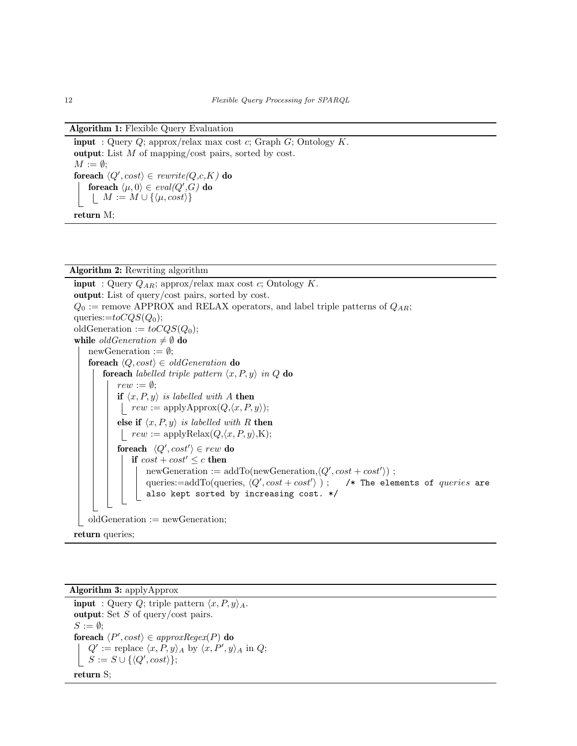| <b>Algorithm 1:</b> Flexible Query Evaluation                            |
|--------------------------------------------------------------------------|
| <b>input</b> : Query Q; approx/relax max cost c; Graph G; Ontology $K$ . |
| output: List $M$ of mapping/cost pairs, sorted by cost.                  |

 $M := \emptyset$ ; foreach  $\langle Q', cost \rangle \in rewrite(Q, c, K)$  do foreach  $\langle \mu, 0 \rangle \in \mathit{eval}(Q',G)$  do  $\vert M := M \cup \{\langle \mu, cost \rangle\}$ 

return M;

#### Algorithm 2: Rewriting algorithm

**input** : Query  $Q_{AR}$ ; approx/relax max cost c; Ontology K. output: List of query/cost pairs, sorted by cost.  $Q_0$  := remove APPROX and RELAX operators, and label triple patterns of  $Q_{AR}$ ; queries:= $toCQS(Q<sub>0</sub>)$ ; oldGeneration :=  $toCQS(Q<sub>0</sub>)$ ; while  $oldGeneration \neq \emptyset$  do newGeneration :=  $\emptyset$ ; foreach  $\langle Q, cost \rangle \in oldGeneration$  do foreach labelled triple pattern  $\langle x, P, y \rangle$  in Q do  $rew := \emptyset;$ if  $\langle x, P, y \rangle$  is labelled with A then |  $rew := \text{applyApprox}(Q, \langle x, P, y \rangle);$ else if  $\langle x, P, y \rangle$  is labelled with R then |  $rew := \text{applyRelax}(Q, \langle x, P, y \rangle, \mathbf{K});$ foreach  $\langle Q', cost' \rangle \in rew$  do if  $cost + cost' \leq c$  then newGeneration :=  $addTo(newGeneration, \langle Q', cost + cost' \rangle)$ ; queries:=addTo(queries,  $\langle Q', cost + cost' \rangle$ ); /\* The elements of *queries* are also kept sorted by increasing cost. \*/ oldGeneration := newGeneration; return queries;

```
Algorithm 3: applyApprox
 input : Query Q; triple pattern \langle x, P, y \rangle_A.
 output: Set S of query/cost pairs.
 S := \emptyset;
 foreach \langle P', cost \rangle \in approxRegex(P) do
       Q' := \text{replace } \langle x, P, y \rangle_A \text{ by } \langle x, P', y \rangle_A \text{ in } Q;S := S \cup \{ \langle Q', cost \rangle \};return S;
```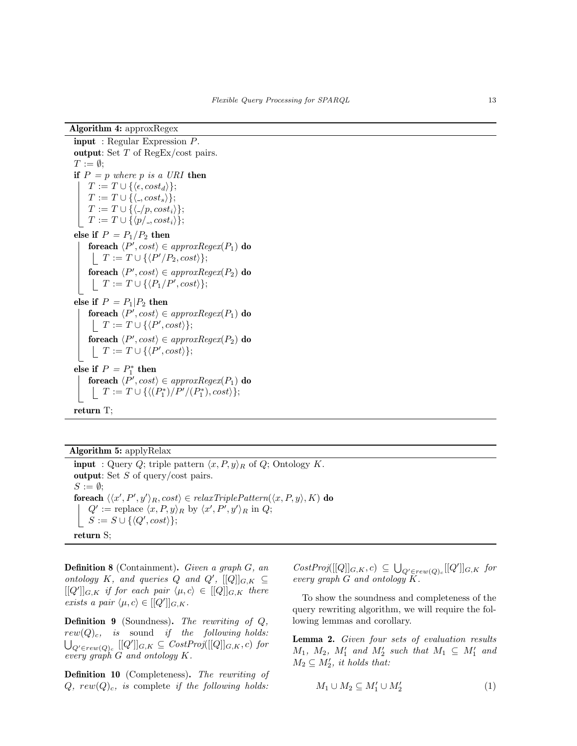Algorithm 4: approxRegex

input : Regular Expression P. output: Set T of RegEx/cost pairs.  $T := \emptyset$ : if  $P = p$  where p is a URI then  $T := T \cup \{\langle \epsilon, cost_d \rangle\};$  $T := T \cup \{\langle . , cost_s \rangle\};$  $T := T \cup \{ \langle -p, cost_i \rangle \};$  $T := T \cup \{ \langle p' \rangle | \text{cost}_i \rangle \};$ else if  $P = P_1/P_2$  then foreach  $\langle P', cost \rangle \in \textit{approxRegex}(P_1)$  do  $T := T \cup \{ \langle P'/P_2, cost \rangle \};$ foreach  $\langle P', cost \rangle \in *approxRegex*(P<sub>2</sub>)$  do  $T := T \cup \{ \langle P_1/P', cost \rangle \};$ else if  $P = P_1|P_2$  then foreach  $\langle P', cost \rangle \in \textit{approxRegex}(P_1)$  do  $T := T \cup \{ \langle P', cost \rangle \};$ foreach  $\langle P', cost \rangle \in \textit{approxRegex}(P_2)$  do  $T := T \cup \{ \langle P', cost \rangle \};$ else if  $P = P_1^*$  then foreach  $\langle P', cost \rangle \in \textit{approxRegex}(P_1)$  do  $T := T \cup \{ \langle (P_1^*)/P'/(P_1^*) , cost \rangle \};$ return T;

Algorithm 5: applyRelax **input** : Query Q; triple pattern  $\langle x, P, y \rangle_R$  of Q; Ontology K. output: Set  $S$  of query/cost pairs.  $S := \emptyset;$ foreach  $\langle\langle x', P', y'\rangle_R, cost\rangle \in \text{relaxTriplePattern}(\langle x, P, y \rangle, K)$  do  $Q' := \text{replace } \langle x, P, y \rangle_R \text{ by } \langle x', P', y' \rangle_R \text{ in } Q;$  $S := S \cup \{ \langle Q', cost \rangle \};$ 

return S;

**Definition 8** (Containment). Given a graph  $G$ , an ontology K, and queries Q and  $Q'$ ,  $[[Q]]_{G,K} \subseteq$  $[[Q']]_{G,K}$  if for each pair  $\langle \mu, c \rangle \in [[Q]]_{G,K}$  there exists a pair  $\langle \mu, c \rangle \in [[Q']]_{G,K}.$ 

Definition 9 (Soundness). The rewriting of Q,  $rew(Q)_c$ , is sound if the following holds:  $\bigcup_{Q' \in rew(Q)_c} [[Q']]_{G,K} \subseteq CostProj([[Q]]_{G,K}, c)$  for every graph G and ontology K.

Definition 10 (Completeness). The rewriting of  $Q, \; rew(Q)<sub>c</sub>, \; is \; complete \; if \; the \; following \; holds:$ 

 $CostProj([[Q]]_{G,K}, c) \subseteq \bigcup_{Q' \in rew(Q)_c} [[Q']]_{G,K}$  for every graph G and ontology K.

To show the soundness and completeness of the query rewriting algorithm, we will require the following lemmas and corollary.

Lemma 2. Given four sets of evaluation results  $M_1$ ,  $M_2$ ,  $M'_1$  and  $M'_2$  such that  $M_1 \subseteq M'_1$  and  $M_2 \subseteq M'_2$ , it holds that:

$$
M_1 \cup M_2 \subseteq M'_1 \cup M'_2 \tag{1}
$$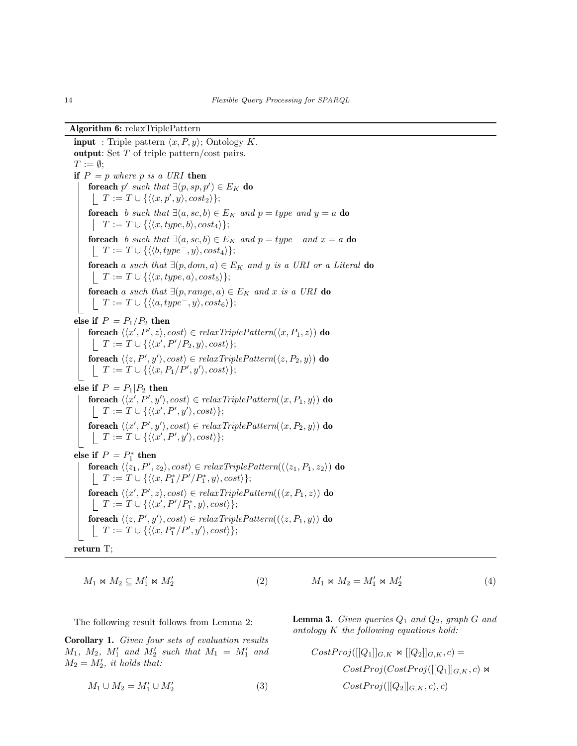#### Algorithm 6: relaxTriplePattern

**input** : Triple pattern  $\langle x, P, y \rangle$ ; Ontology K. output: Set T of triple pattern/cost pairs.  $T := \emptyset$ ; if  $P = p$  where p is a URI then foreach  $p'$  such that  $\exists (p, sp, p') \in E_K$  do  $T := T \cup \{ \langle \langle x, p', y \rangle, cost_2 \rangle \};$ foreach b such that  $\exists (a, sc, b) \in E_K$  and  $p = type$  and  $y = a$  do  $T := T \cup \{ \langle \langle x, type, b \rangle, cost_4 \rangle \};$ foreach b such that  $\exists (a, sc, b) \in E_K$  and  $p = type^-$  and  $x = a$  do  $\Box$   $T := T \cup \{ \langle \langle b, type^{-}, y \rangle, cost_4 \rangle \};$ foreach a such that  $\exists (p, dom, a) \in E_K$  and y is a URI or a Literal do  $\vert$   $T := T \cup \{ \langle \langle x, type, a \rangle, cost_5 \rangle \};$ foreach a such that  $\exists (p, range, a) \in E_K$  and x is a URI do  $T := T \cup \{ \langle \langle a, type^-, y \rangle, cost_6 \rangle \};$ else if  $P = P_1/P_2$  then foreach  $\langle\langle x',P',z\rangle, cost\rangle \in \mathit{relaxTriplePattern}(\langle x,P_1,z\rangle)$  do  $T := T \cup \{ \langle \langle x', P'/P_2, y \rangle, cost \rangle \};$ foreach  $\langle \langle z, P', y' \rangle$ ,  $cost \rangle \in \text{relaxTriplePattern}(\langle z, P_2, y \rangle)$  do  $T := T \cup \{ \langle \langle x, P_1/P', y' \rangle, cost \rangle \};$ else if  $P = P_1|P_2$  then foreach  $\langle\langle x', P', y'\rangle, cost\rangle \in \mathit{relaxTriplePattern}(\langle x, P_1, y\rangle)$  do  $T := T \cup \{ \langle \langle x', P', y' \rangle, cost \rangle \};$ foreach  $\langle\langle x', P', y'\rangle, cost\rangle \in relaxTriplePattern(\langle x, P_2, y\rangle)$  do  $T := T \cup \{ \langle \langle x', P', y' \rangle, cost \rangle \};$ else if  $P = P_1^*$  then foreach  $\langle\langle z_1, P', z_2\rangle$ ,  $cost\rangle \in \textit{relaxTriplePattern}((\langle z_1, P_1, z_2\rangle)$  do  $T := T \cup \{ \langle \langle x, P_1^* / P' / P_1^*, y \rangle, cost \rangle \};$ foreach  $\langle\langle x', P', z\rangle, cost\rangle \in \text{relaxTriplePattern}((\langle x, P_1, z\rangle)$  do  $T := T \cup \{ \langle \langle x', P'/P_1^*, y \rangle, cost \rangle \};$ foreach  $\langle \langle z, P', y' \rangle$ ,  $cost \rangle \in \text{relaxTriplePattern}( (\langle z, P_1, y \rangle)$  do  $T := T \cup \{ \langle \langle x, P_1^* / P', y' \rangle, cost \rangle \};$ return T;

(2)

$$
M_1\Join M_2\subseteq M_1'\Join M_2'
$$

$$
M_1 \bowtie M_2 = M'_1 \bowtie M'_2 \tag{4}
$$

The following result follows from Lemma 2:

Corollary 1. Given four sets of evaluation results  $M_1, M_2, M'_1$  and  $M'_2$  such that  $M_1 = M'_1$  and  $M_2 = M'_2$ , it holds that:

$$
M_1 \cup M_2 = M'_1 \cup M'_2 \tag{3}
$$

**Lemma 3.** Given queries  $Q_1$  and  $Q_2$ , graph G and ontology K the following equations hold:

$$
CostProj([[Q1]]G,K \Join [[Q2]]G,K, c) =
$$

$$
CostProj(CostProj([[Q1]]G,K, c) \Join
$$

$$
CostProj([[Q2]]G,K, c), c)
$$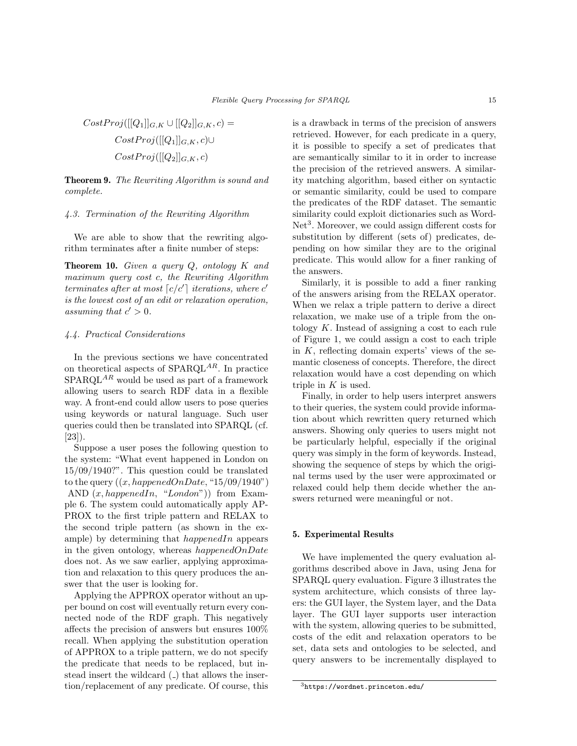$$
CostProj([[Q1]]G,K \cup [[Q2]]G,K, c) =
$$

$$
CostProj([[Q1]]G,K, c) \cup
$$

$$
CostProj([[Q2]]G,K, c)
$$

Theorem 9. The Rewriting Algorithm is sound and complete.

## 4.3. Termination of the Rewriting Algorithm

We are able to show that the rewriting algorithm terminates after a finite number of steps:

**Theorem 10.** Given a query  $Q$ , ontology  $K$  and maximum query cost c, the Rewriting Algorithm terminates after at most  $\lceil c/c' \rceil$  iterations, where c' is the lowest cost of an edit or relaxation operation, assuming that  $c' > 0$ .

#### 4.4. Practical Considerations

In the previous sections we have concentrated on theoretical aspects of  $SPARQL^{AR}$ . In practice  $SPARQL^{AR}$  would be used as part of a framework allowing users to search RDF data in a flexible way. A front-end could allow users to pose queries using keywords or natural language. Such user queries could then be translated into SPARQL (cf. [23]).

Suppose a user poses the following question to the system: "What event happened in London on 15/09/1940?". This question could be translated to the query  $((x, happenedOnDate, "15/09/1940")$ AND  $(x, happenedIn, "London")$  from Example 6. The system could automatically apply AP-PROX to the first triple pattern and RELAX to the second triple pattern (as shown in the example) by determining that  $happendIn$  appears in the given ontology, whereas  $happedOnDate$ does not. As we saw earlier, applying approximation and relaxation to this query produces the answer that the user is looking for.

Applying the APPROX operator without an upper bound on cost will eventually return every connected node of the RDF graph. This negatively affects the precision of answers but ensures 100% recall. When applying the substitution operation of APPROX to a triple pattern, we do not specify the predicate that needs to be replaced, but instead insert the wildcard ( $\Box$ ) that allows the insertion/replacement of any predicate. Of course, this is a drawback in terms of the precision of answers retrieved. However, for each predicate in a query, it is possible to specify a set of predicates that are semantically similar to it in order to increase the precision of the retrieved answers. A similarity matching algorithm, based either on syntactic or semantic similarity, could be used to compare the predicates of the RDF dataset. The semantic similarity could exploit dictionaries such as Word-Net<sup>3</sup>. Moreover, we could assign different costs for substitution by different (sets of) predicates, depending on how similar they are to the original predicate. This would allow for a finer ranking of the answers.

Similarly, it is possible to add a finer ranking of the answers arising from the RELAX operator. When we relax a triple pattern to derive a direct relaxation, we make use of a triple from the ontology K. Instead of assigning a cost to each rule of Figure 1, we could assign a cost to each triple in  $K$ , reflecting domain experts' views of the semantic closeness of concepts. Therefore, the direct relaxation would have a cost depending on which triple in  $K$  is used.

Finally, in order to help users interpret answers to their queries, the system could provide information about which rewritten query returned which answers. Showing only queries to users might not be particularly helpful, especially if the original query was simply in the form of keywords. Instead, showing the sequence of steps by which the original terms used by the user were approximated or relaxed could help them decide whether the answers returned were meaningful or not.

# 5. Experimental Results

We have implemented the query evaluation algorithms described above in Java, using Jena for SPARQL query evaluation. Figure 3 illustrates the system architecture, which consists of three layers: the GUI layer, the System layer, and the Data layer. The GUI layer supports user interaction with the system, allowing queries to be submitted, costs of the edit and relaxation operators to be set, data sets and ontologies to be selected, and query answers to be incrementally displayed to

<sup>3</sup>https://wordnet.princeton.edu/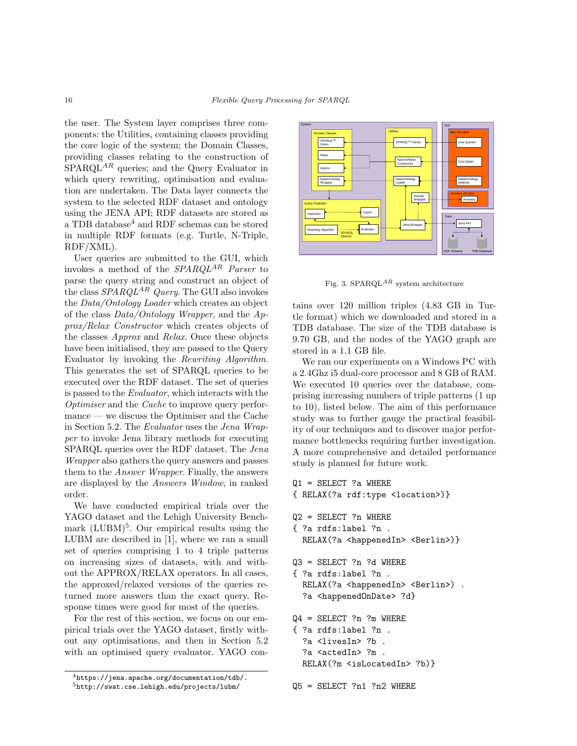the user. The System layer comprises three components: the Utilities, containing classes providing the core logic of the system; the Domain Classes, providing classes relating to the construction of  $SPARQL^{AR}$  queries; and the Query Evaluator in which query rewriting, optimisation and evaluation are undertaken. The Data layer connects the system to the selected RDF dataset and ontology using the JENA API; RDF datasets are stored as a TDB database<sup>4</sup> and RDF schemas can be stored in multiple RDF formats (e.g. Turtle, N-Triple, RDF/XML).

User queries are submitted to the GUI, which invokes a method of the  $SPARQL^{AR}$  Parser to parse the query string and construct an object of the class  $SPARQL^{AR}$  Query. The GUI also invokes the Data/Ontology Loader which creates an object of the class  $Data/Ontology$  Wrapper, and the  $Ap$ prox/Relax Constructor which creates objects of the classes Approx and Relax. Once these objects have been initialised, they are passed to the Query Evaluator by invoking the Rewriting Algorithm. This generates the set of SPARQL queries to be executed over the RDF dataset. The set of queries is passed to the Evaluator, which interacts with the Optimiser and the Cache to improve query performance — we discuss the Optimiser and the Cache in Section 5.2. The Evaluator uses the Jena Wrapper to invoke Jena library methods for executing SPARQL queries over the RDF dataset. The Jena Wrapper also gathers the query answers and passes them to the Answer Wrapper. Finally, the answers are displayed by the Answers Window, in ranked order.

We have conducted empirical trials over the YAGO dataset and the Lehigh University Benchmark (LUBM)<sup>5</sup>. Our empirical results using the LUBM are described in [1], where we ran a small set of queries comprising 1 to 4 triple patterns on increasing sizes of datasets, with and without the APPROX/RELAX operators. In all cases, the approxed/relaxed versions of the queries returned more answers than the exact query. Response times were good for most of the queries.

For the rest of this section, we focus on our empirical trials over the YAGO dataset, firstly without any optimisations, and then in Section 5.2 with an optimised query evaluator. YAGO con-



Fig. 3. SPARQL<sup>AR</sup> system architecture

tains over 120 million triples (4.83 GB in Turtle format) which we downloaded and stored in a TDB database. The size of the TDB database is 9.70 GB, and the nodes of the YAGO graph are stored in a 1.1 GB file.

We ran our experiments on a Windows PC with a 2.4Ghz i5 dual-core processor and 8 GB of RAM. We executed 10 queries over the database, comprising increasing numbers of triple patterns (1 up to 10), listed below. The aim of this performance study was to further gauge the practical feasibility of our techniques and to discover major performance bottlenecks requiring further investigation. A more comprehensive and detailed performance study is planned for future work.

```
Q1 = SELECT ?a WHERE
{ RELAX(?a rdf:type <location>)}
Q2 = SELECT ?n WHERE
{ ?a rdfs:label ?n .
  RELAX(?a <happenedIn> <Berlin>)}
Q3 = SELECT ?n ?d WHERE
{ ?a rdfs:label ?n .
  RELAX(?a <happenedIn> <Berlin>).
  ?a <happenedOnDate> ?d}
Q4 = SELECT ?n ?m WHERE
{ ?a rdfs:label ?n .
  ?a <livesIn> ?b .
  ?a <actedIn> ?m .
  RELAX(?m <isLocatedIn> ?b)}
Q5 = SELECT ?n1 ?n2 WHERE
```
 $4$ https://jena.apache.org/documentation/tdb/. <sup>5</sup>http://swat.cse.lehigh.edu/projects/lubm/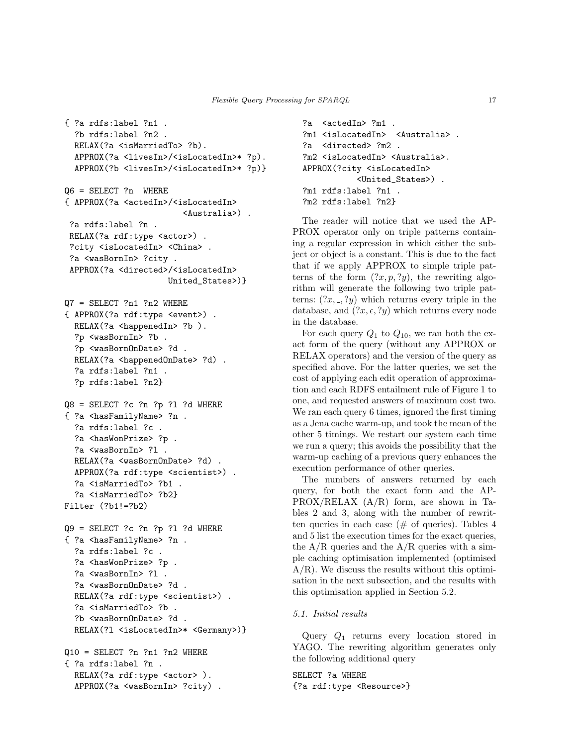```
{ ?a rdfs:label ?n1 .
  ?b rdfs:label ?n2 .
 RELAX(?a <isMarriedTo> ?b).
  APPROX(?a <livesIn>/<isLocatedIn>* ?p).
  APPROX(?b <livesIn>/<isLocatedIn>* ?p)}
Q6 = SELECT ?n WHERE
{ APPROX(?a <actedIn>/<isLocatedIn>
                        <Australia>) .
 ?a rdfs:label ?n .
 RELAX(?a rdf:type <actor>).
 ?city <isLocatedIn> <China> .
 ?a <wasBornIn> ?city .
 APPROX(?a <directed>/<isLocatedIn>
                     United_States>)}
Q7 = SELECT ?n1 ?n2 WHERE
{ APPROX(?a rdf:type <event>) .
  RELAX(?a <happenedIn> ?b ).
  ?p <wasBornIn> ?b .
  ?p <wasBornOnDate> ?d .
  RELAX(?a <happenedOnDate> ?d) .
  ?a rdfs:label ?n1 .
  ?p rdfs:label ?n2}
Q8 = SELECT ?c ?n ?p ?l ?d WHERE
{ ?a <hasFamilyName> ?n .
  ?a rdfs:label ?c .
  ?a <hasWonPrize> ?p.
  ?a <wasBornIn> ?l .
 RELAX(?a <wasBornOnDate> ?d) .
  APPROX(?a rdf:type <scientist>) .
  ?a <isMarriedTo> ?b1 .
  ?a <isMarriedTo> ?b2}
Filter (?b1!=?b2)
Q9 = SELECT ?c ?n ?p ?l ?d WHERE
{ ?a <hasFamilyName> ?n .
  ?a rdfs:label ?c .
  ?a <hasWonPrize> ?p.
  ?a <wasBornIn> ?l .
  ?a <wasBornOnDate> ?d .
  RELAX(?a rdf:type <scientist>) .
  ?a <isMarriedTo> ?b .
  ?b <wasBornOnDate> ?d .
 RELAX(?l <isLocatedIn>* <Germany>)}
Q10 = SELECT ?n ?n1 ?n2 WHERE
{ ?a rdfs:label ?n .
 RELAX(?a rdf:type <actor> ).
  APPROX(?a <wasBornIn> ?city) .
```

```
?a <actedIn> ?m1 .
?m1 <isLocatedIn> <Australia>.
?a <directed> ?m2 .
?m2 <isLocatedIn> <Australia>.
APPROX(?city <isLocatedIn>
           <United_States>) .
?m1 rdfs:label ?n1 .
?m2 rdfs:label ?n2}
```
The reader will notice that we used the AP-PROX operator only on triple patterns containing a regular expression in which either the subject or object is a constant. This is due to the fact that if we apply APPROX to simple triple patterns of the form  $(?x, p, ?y)$ , the rewriting algorithm will generate the following two triple patterns:  $(2x, \ldots, 2y)$  which returns every triple in the database, and  $(2x, \epsilon, 2y)$  which returns every node in the database.

For each query  $Q_1$  to  $Q_{10}$ , we ran both the exact form of the query (without any APPROX or RELAX operators) and the version of the query as specified above. For the latter queries, we set the cost of applying each edit operation of approximation and each RDFS entailment rule of Figure 1 to one, and requested answers of maximum cost two. We ran each query 6 times, ignored the first timing as a Jena cache warm-up, and took the mean of the other 5 timings. We restart our system each time we run a query; this avoids the possibility that the warm-up caching of a previous query enhances the execution performance of other queries.

The numbers of answers returned by each query, for both the exact form and the AP-PROX/RELAX (A/R) form, are shown in Tables 2 and 3, along with the number of rewritten queries in each case  $(\# \text{ of queries})$ . Tables 4 and 5 list the execution times for the exact queries, the  $A/R$  queries and the  $A/R$  queries with a simple caching optimisation implemented (optimised A/R). We discuss the results without this optimisation in the next subsection, and the results with this optimisation applied in Section 5.2.

### 5.1. Initial results

Query  $Q_1$  returns every location stored in YAGO. The rewriting algorithm generates only the following additional query

SELECT ?a WHERE {?a rdf:type <Resource>}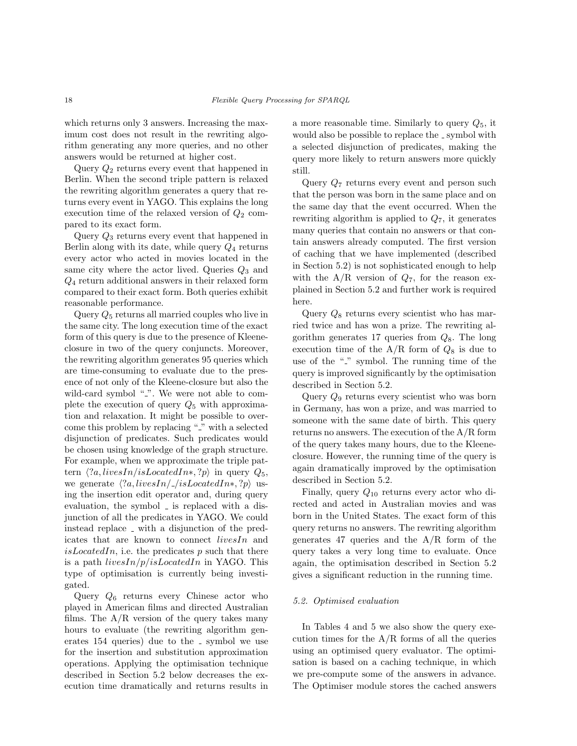which returns only 3 answers. Increasing the maximum cost does not result in the rewriting algorithm generating any more queries, and no other answers would be returned at higher cost.

Query  $Q_2$  returns every event that happened in Berlin. When the second triple pattern is relaxed the rewriting algorithm generates a query that returns every event in YAGO. This explains the long execution time of the relaxed version of  $Q_2$  compared to its exact form.

Query  $Q_3$  returns every event that happened in Berlin along with its date, while query  $Q_4$  returns every actor who acted in movies located in the same city where the actor lived. Queries  $Q_3$  and Q<sup>4</sup> return additional answers in their relaxed form compared to their exact form. Both queries exhibit reasonable performance.

Query  $Q_5$  returns all married couples who live in the same city. The long execution time of the exact form of this query is due to the presence of Kleeneclosure in two of the query conjuncts. Moreover, the rewriting algorithm generates 95 queries which are time-consuming to evaluate due to the presence of not only of the Kleene-closure but also the wild-card symbol ".". We were not able to complete the execution of query  $Q_5$  with approximation and relaxation. It might be possible to overcome this problem by replacing "." with a selected disjunction of predicates. Such predicates would be chosen using knowledge of the graph structure. For example, when we approximate the triple pattern  $\langle ?a, livesIn/isLocatedIn*, ?p \rangle$  in query  $Q_5$ , we generate  $\langle ?a, livesIn/ \angle isLocatedIn*, ?p \rangle$  using the insertion edit operator and, during query evaluation, the symbol  $\overline{\ }$  is replaced with a disjunction of all the predicates in YAGO. We could instead replace \_ with a disjunction of the predicates that are known to connect livesIn and  $isLocatedIn, i.e.$  the predicates p such that there is a path  $livesIn/p/isLocatedIn$  in YAGO. This type of optimisation is currently being investigated.

Query  $Q_6$  returns every Chinese actor who played in American films and directed Australian films. The  $A/R$  version of the query takes many hours to evaluate (the rewriting algorithm generates  $154$  queries) due to the symbol we use for the insertion and substitution approximation operations. Applying the optimisation technique described in Section 5.2 below decreases the execution time dramatically and returns results in a more reasonable time. Similarly to query  $Q_5$ , it would also be possible to replace the  $\overline{\ }$  symbol with a selected disjunction of predicates, making the query more likely to return answers more quickly still.

Query  $Q_7$  returns every event and person such that the person was born in the same place and on the same day that the event occurred. When the rewriting algorithm is applied to  $Q_7$ , it generates many queries that contain no answers or that contain answers already computed. The first version of caching that we have implemented (described in Section 5.2) is not sophisticated enough to help with the  $A/R$  version of  $Q_7$ , for the reason explained in Section 5.2 and further work is required here.

Query  $Q_8$  returns every scientist who has married twice and has won a prize. The rewriting algorithm generates 17 queries from  $Q_8$ . The long execution time of the  $A/R$  form of  $Q_8$  is due to use of the " $\tilde{ }$ " symbol. The running time of the query is improved significantly by the optimisation described in Section 5.2.

Query  $Q_9$  returns every scientist who was born in Germany, has won a prize, and was married to someone with the same date of birth. This query returns no answers. The execution of the A/R form of the query takes many hours, due to the Kleeneclosure. However, the running time of the query is again dramatically improved by the optimisation described in Section 5.2.

Finally, query  $Q_{10}$  returns every actor who directed and acted in Australian movies and was born in the United States. The exact form of this query returns no answers. The rewriting algorithm generates 47 queries and the  $A/R$  form of the query takes a very long time to evaluate. Once again, the optimisation described in Section 5.2 gives a significant reduction in the running time.

#### 5.2. Optimised evaluation

In Tables 4 and 5 we also show the query execution times for the  $A/R$  forms of all the queries using an optimised query evaluator. The optimisation is based on a caching technique, in which we pre-compute some of the answers in advance. The Optimiser module stores the cached answers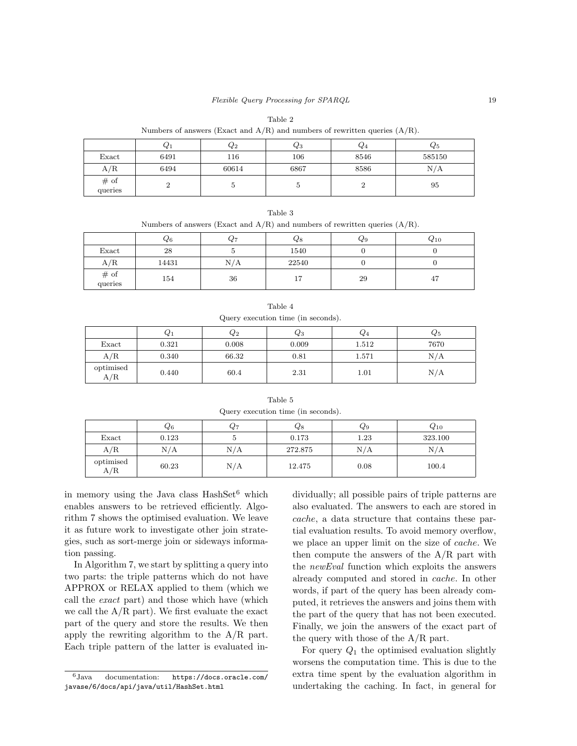| Table 2 |      |                                                                                  |      |      |                |  |
|---------|------|----------------------------------------------------------------------------------|------|------|----------------|--|
|         |      | Numbers of answers (Exact and $A/R$ ) and numbers of rewritten queries $(A/R)$ . |      |      |                |  |
|         |      | $\mathcal{Q}_2$                                                                  | Ųз   | Q/4  | $\mathcal Q_5$ |  |
| Exact   | 6491 | 116                                                                              | 106  | 8546 | 585150         |  |
| A/R     | 6494 | 60614                                                                            | 6867 | 8586 | N/A            |  |

| Table 3                                                                          |  |
|----------------------------------------------------------------------------------|--|
| Numbers of answers (Exact and $A/R$ ) and numbers of rewritten queries $(A/R)$ . |  |

queries <sup>2</sup> <sup>5</sup> <sup>5</sup> <sup>2</sup> <sup>95</sup>

|                    | Q6    | $Q_7$ | 48            | ५ ९ | $_{\rm Q10}$ |
|--------------------|-------|-------|---------------|-----|--------------|
| Exact              | 28    |       | 1540          |     |              |
| A/R                | 14431 | N/A   | 22540         |     |              |
| $\#$ of<br>queries | 154   | 36    | -<br><b>.</b> | 29  | 47           |

| Query execution time (in seconds). |       |                 |                   |       |         |
|------------------------------------|-------|-----------------|-------------------|-------|---------|
|                                    | $Q_1$ | $\mathcal{Q}_2$ | $_{\mathcal{C}3}$ | $Q_4$ | $Q_{5}$ |
| Exact                              | 0.321 | 0.008           | 0.009             | 1.512 | 7670    |
| A/R                                | 0.340 | 66.32           | 0.81              | 1.571 | N/A     |
| optimised<br>A/R                   | 0.440 | 60.4            | 2.31              | 1.01  | N/A     |

Table 4

Table 5 Query execution time (in seconds).

|                  | Q6    | $Q_7$ | $_{\rm Q8}$ | Q9   | $Q_{10}$ |
|------------------|-------|-------|-------------|------|----------|
| Exact            | 0.123 |       | 0.173       | 1.23 | 323.100  |
| A/R              | N/A   | N/A   | 272.875     | N/A  | N/A      |
| optimised<br>A/R | 60.23 | N/A   | 12.475      | 0.08 | 100.4    |

in memory using the Java class  $HashSet^6$  which enables answers to be retrieved efficiently. Algorithm 7 shows the optimised evaluation. We leave it as future work to investigate other join strategies, such as sort-merge join or sideways information passing.

# of

In Algorithm 7, we start by splitting a query into two parts: the triple patterns which do not have APPROX or RELAX applied to them (which we call the exact part) and those which have (which we call the  $A/R$  part). We first evaluate the exact part of the query and store the results. We then apply the rewriting algorithm to the A/R part. Each triple pattern of the latter is evaluated individually; all possible pairs of triple patterns are also evaluated. The answers to each are stored in cache, a data structure that contains these partial evaluation results. To avoid memory overflow, we place an upper limit on the size of cache. We then compute the answers of the  $A/R$  part with the newEval function which exploits the answers already computed and stored in cache. In other words, if part of the query has been already computed, it retrieves the answers and joins them with the part of the query that has not been executed. Finally, we join the answers of the exact part of the query with those of the  $A/R$  part.

For query  $Q_1$  the optimised evaluation slightly worsens the computation time. This is due to the extra time spent by the evaluation algorithm in undertaking the caching. In fact, in general for

<sup>6</sup>Java documentation: https://docs.oracle.com/ javase/6/docs/api/java/util/HashSet.html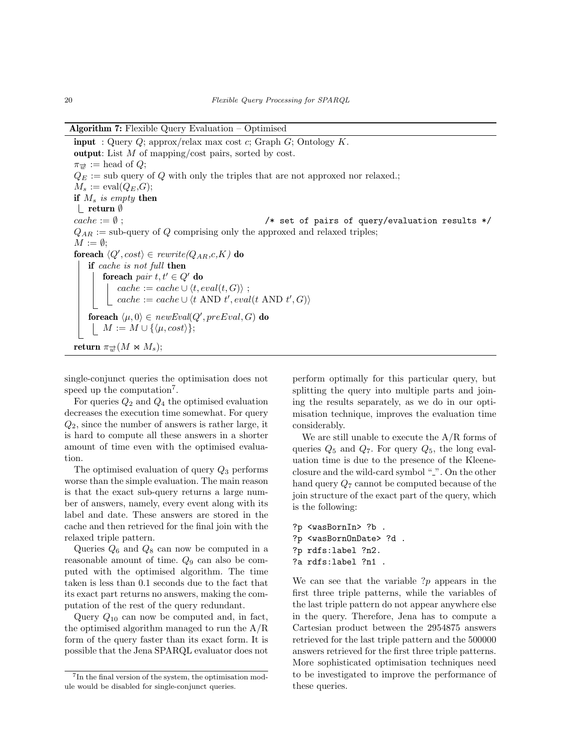Algorithm 7: Flexible Query Evaluation – Optimised

**input** : Query Q; approx/relax max cost c; Graph G; Ontology  $K$ . output: List M of mapping/cost pairs, sorted by cost.  $\pi_{\overrightarrow{w}} :=$  head of  $Q$ ;  $Q_E :=$  sub query of Q with only the triples that are not approxed nor relaxed.;  $M_s := \text{eval}(Q_E, G);$ if  $M_s$  is empty then return ∅  $cache := \emptyset$ ;  $\longrightarrow$   $\rightarrow$  set of pairs of query/evaluation results \*/  $Q_{AR}$  := sub-query of Q comprising only the approxed and relaxed triples;  $M := \emptyset;$ foreach  $\langle Q', cost \rangle \in \textit{rewrite}(Q_{AR},c,K)$  do if cache is not full then foreach pair  $t, t' \in Q'$  do  $cache := cache \cup \langle t, eval(t, G) \rangle ;$  $cache := cache \cup \langle t \text{ AND } t', eval(t \text{ AND } t', G) \rangle$ foreach  $\langle \mu, 0 \rangle \in \mathit{newEval}(Q', \mathit{preEval}, G)$  do  $\vert M := M \cup \{\langle \mu, cost \rangle\};$ return  $\pi_{\overrightarrow{w}}(M \bowtie M_s);$ 

single-conjunct queries the optimisation does not speed up the computation<sup>7</sup>.

For queries  $Q_2$  and  $Q_4$  the optimised evaluation decreases the execution time somewhat. For query  $Q_2$ , since the number of answers is rather large, it is hard to compute all these answers in a shorter amount of time even with the optimised evaluation.

The optimised evaluation of query  $Q_3$  performs worse than the simple evaluation. The main reason is that the exact sub-query returns a large number of answers, namely, every event along with its label and date. These answers are stored in the cache and then retrieved for the final join with the relaxed triple pattern.

Queries  $Q_6$  and  $Q_8$  can now be computed in a reasonable amount of time.  $Q_9$  can also be computed with the optimised algorithm. The time taken is less than 0.1 seconds due to the fact that its exact part returns no answers, making the computation of the rest of the query redundant.

Query  $Q_{10}$  can now be computed and, in fact, the optimised algorithm managed to run the A/R form of the query faster than its exact form. It is possible that the Jena SPARQL evaluator does not perform optimally for this particular query, but splitting the query into multiple parts and joining the results separately, as we do in our optimisation technique, improves the evaluation time considerably.

We are still unable to execute the A/R forms of queries  $Q_5$  and  $Q_7$ . For query  $Q_5$ , the long evaluation time is due to the presence of the Kleeneclosure and the wild-card symbol ".". On the other hand query  $Q_7$  cannot be computed because of the join structure of the exact part of the query, which is the following:

```
?p <wasBornIn> ?b .
?p <wasBornOnDate> ?d .
?p rdfs:label ?n2.
?a rdfs:label ?n1 .
```
We can see that the variable  $?p$  appears in the first three triple patterns, while the variables of the last triple pattern do not appear anywhere else in the query. Therefore, Jena has to compute a Cartesian product between the 2954875 answers retrieved for the last triple pattern and the 500000 answers retrieved for the first three triple patterns. More sophisticated optimisation techniques need to be investigated to improve the performance of these queries.

<sup>&</sup>lt;sup>7</sup>In the final version of the system, the optimisation module would be disabled for single-conjunct queries.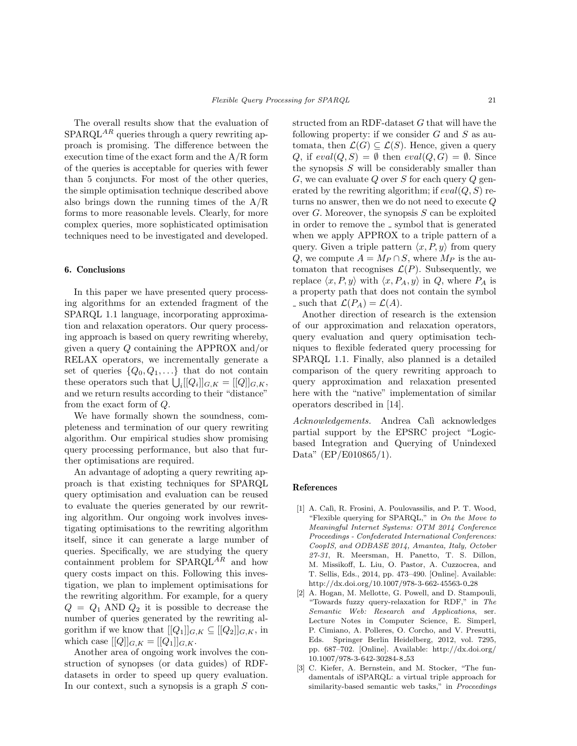The overall results show that the evaluation of  $SPARQL<sup>AR</sup>$  queries through a query rewriting approach is promising. The difference between the execution time of the exact form and the A/R form of the queries is acceptable for queries with fewer than 5 conjuncts. For most of the other queries, the simple optimisation technique described above also brings down the running times of the A/R forms to more reasonable levels. Clearly, for more complex queries, more sophisticated optimisation techniques need to be investigated and developed.

## 6. Conclusions

In this paper we have presented query processing algorithms for an extended fragment of the SPARQL 1.1 language, incorporating approximation and relaxation operators. Our query processing approach is based on query rewriting whereby, given a query Q containing the APPROX and/or RELAX operators, we incrementally generate a set of queries  $\{Q_0, Q_1, \ldots\}$  that do not contain these operators such that  $\bigcup_i [[Q_i]]_{G,K} = [[Q]]_{G,K},$ and we return results according to their "distance" from the exact form of Q.

We have formally shown the soundness, completeness and termination of our query rewriting algorithm. Our empirical studies show promising query processing performance, but also that further optimisations are required.

An advantage of adopting a query rewriting approach is that existing techniques for SPARQL query optimisation and evaluation can be reused to evaluate the queries generated by our rewriting algorithm. Our ongoing work involves investigating optimisations to the rewriting algorithm itself, since it can generate a large number of queries. Specifically, we are studying the query containment problem for  $SPARQL^{AR}$  and how query costs impact on this. Following this investigation, we plan to implement optimisations for the rewriting algorithm. For example, for a query  $Q = Q_1$  AND  $Q_2$  it is possible to decrease the number of queries generated by the rewriting algorithm if we know that  $[[Q_1]]_{G,K} \subseteq [[Q_2]]_{G,K}$ , in which case  $[[Q]]_{G,K} = [[Q_1]]_{G,K}.$ 

Another area of ongoing work involves the construction of synopses (or data guides) of RDFdatasets in order to speed up query evaluation. In our context, such a synopsis is a graph  $S$  constructed from an RDF-dataset G that will have the following property: if we consider  $G$  and  $S$  as automata, then  $\mathcal{L}(G) \subseteq \mathcal{L}(S)$ . Hence, given a query Q, if  $eval(Q, S) = \emptyset$  then  $eval(Q, G) = \emptyset$ . Since the synopsis  $S$  will be considerably smaller than G, we can evaluate Q over S for each query Q generated by the rewriting algorithm; if  $eval(Q, S)$  returns no answer, then we do not need to execute Q over  $G$ . Moreover, the synopsis  $S$  can be exploited in order to remove the  $\overline{\ }$  symbol that is generated when we apply APPROX to a triple pattern of a query. Given a triple pattern  $\langle x, P, y \rangle$  from query Q, we compute  $A = M_P \cap S$ , where  $M_P$  is the automaton that recognises  $\mathcal{L}(P)$ . Subsequently, we replace  $\langle x, P, y \rangle$  with  $\langle x, P_A, y \rangle$  in Q, where  $P_A$  is a property path that does not contain the symbol - such that  $\mathcal{L}(P_A) = \mathcal{L}(A)$ .

Another direction of research is the extension of our approximation and relaxation operators, query evaluation and query optimisation techniques to flexible federated query processing for SPARQL 1.1. Finally, also planned is a detailed comparison of the query rewriting approach to query approximation and relaxation presented here with the "native" implementation of similar operators described in [14].

Acknowledgements. Andrea Calì acknowledges partial support by the EPSRC project "Logicbased Integration and Querying of Unindexed Data" (EP/E010865/1).

## References

- [1] A. Calì, R. Frosini, A. Poulovassilis, and P. T. Wood, "Flexible querying for SPARQL," in On the Move to Meaningful Internet Systems: OTM 2014 Conference Proceedings - Confederated International Conferences: CoopIS, and ODBASE 2014, Amantea, Italy, October 27-31, R. Meersman, H. Panetto, T. S. Dillon, M. Missikoff, L. Liu, O. Pastor, A. Cuzzocrea, and T. Sellis, Eds., 2014, pp. 473–490. [Online]. Available: http://dx.doi.org/10.1007/978-3-662-45563-0 28
- [2] A. Hogan, M. Mellotte, G. Powell, and D. Stampouli, "Towards fuzzy query-relaxation for RDF," in The Semantic Web: Research and Applications, ser. Lecture Notes in Computer Science, E. Simperl, P. Cimiano, A. Polleres, O. Corcho, and V. Presutti, Eds. Springer Berlin Heidelberg, 2012, vol. 7295, pp. 687–702. [Online]. Available: http://dx.doi.org/ 10.1007/978-3-642-30284-8 53
- [3] C. Kiefer, A. Bernstein, and M. Stocker, "The fundamentals of iSPARQL: a virtual triple approach for similarity-based semantic web tasks," in Proceedings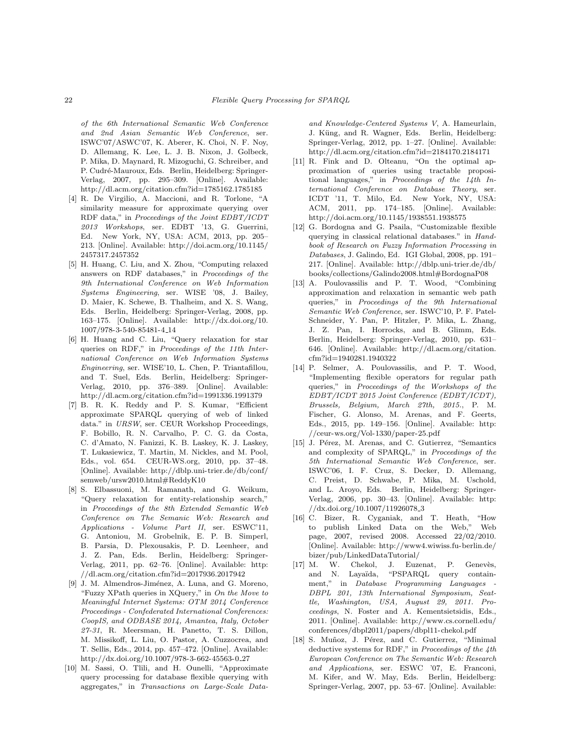of the 6th International Semantic Web Conference and 2nd Asian Semantic Web Conference, ser. ISWC'07/ASWC'07, K. Aberer, K. Choi, N. F. Noy, D. Allemang, K. Lee, L. J. B. Nixon, J. Golbeck, P. Mika, D. Maynard, R. Mizoguchi, G. Schreiber, and P. Cudré-Mauroux, Eds. Berlin, Heidelberg: Springer-Verlag, 2007, pp. 295–309. [Online]. Available: http://dl.acm.org/citation.cfm?id=1785162.1785185

- [4] R. De Virgilio, A. Maccioni, and R. Torlone, "A similarity measure for approximate querying over RDF data," in Proceedings of the Joint EDBT/ICDT 2013 Workshops, ser. EDBT '13, G. Guerrini, Ed. New York, NY, USA: ACM, 2013, pp. 205– 213. [Online]. Available: http://doi.acm.org/10.1145/ 2457317.2457352
- [5] H. Huang, C. Liu, and X. Zhou, "Computing relaxed answers on RDF databases," in Proceedings of the 9th International Conference on Web Information Systems Engineering, ser. WISE '08, J. Bailey, D. Maier, K. Schewe, B. Thalheim, and X. S. Wang, Eds. Berlin, Heidelberg: Springer-Verlag, 2008, pp. 163–175. [Online]. Available: http://dx.doi.org/10. 1007/978-3-540-85481-4 14
- [6] H. Huang and C. Liu, "Query relaxation for star queries on RDF," in Proceedings of the 11th International Conference on Web Information Systems Engineering, ser. WISE'10, L. Chen, P. Triantafillou, and T. Suel, Eds. Berlin, Heidelberg: Springer-Verlag, 2010, pp. 376–389. [Online]. Available: http://dl.acm.org/citation.cfm?id=1991336.1991379
- [7] B. R. K. Reddy and P. S. Kumar, "Efficient approximate SPARQL querying of web of linked data." in URSW, ser. CEUR Workshop Proceedings, F. Bobillo, R. N. Carvalho, P. C. G. da Costa, C. d'Amato, N. Fanizzi, K. B. Laskey, K. J. Laskey, T. Lukasiewicz, T. Martin, M. Nickles, and M. Pool, Eds., vol. 654. CEUR-WS.org, 2010, pp. 37–48. [Online]. Available: http://dblp.uni-trier.de/db/conf/ semweb/ursw2010.html#ReddyK10
- [8] S. Elbassuoni, M. Ramanath, and G. Weikum, "Query relaxation for entity-relationship search," in Proceedings of the 8th Extended Semantic Web Conference on The Semanic Web: Research and Applications - Volume Part II, ser. ESWC'11, G. Antoniou, M. Grobelnik, E. P. B. Simperl, B. Parsia, D. Plexousakis, P. D. Leenheer, and J. Z. Pan, Eds. Berlin, Heidelberg: Springer-Verlag, 2011, pp. 62–76. [Online]. Available: http: //dl.acm.org/citation.cfm?id=2017936.2017942
- [9] J. M. Almendros-Jiménez, A. Luna, and G. Moreno, "Fuzzy XPath queries in XQuery," in On the Move to Meaningful Internet Systems: OTM 2014 Conference Proceedings - Confederated International Conferences: CoopIS, and ODBASE 2014, Amantea, Italy, October 27-31, R. Meersman, H. Panetto, T. S. Dillon, M. Missikoff, L. Liu, O. Pastor, A. Cuzzocrea, and T. Sellis, Eds., 2014, pp. 457–472. [Online]. Available: http://dx.doi.org/10.1007/978-3-662-45563-0 27
- [10] M. Sassi, O. Tlili, and H. Ounelli, "Approximate query processing for database flexible querying with aggregates," in Transactions on Large-Scale Data-

and Knowledge-Centered Systems V, A. Hameurlain, J. Küng, and R. Wagner, Eds. Berlin, Heidelberg: Springer-Verlag, 2012, pp. 1–27. [Online]. Available: http://dl.acm.org/citation.cfm?id=2184170.2184171

- [11] R. Fink and D. Olteanu, "On the optimal approximation of queries using tractable propositional languages," in Proceedings of the 14th International Conference on Database Theory, ser. ICDT '11, T. Milo, Ed. New York, NY, USA: ACM, 2011, pp. 174–185. [Online]. Available: http://doi.acm.org/10.1145/1938551.1938575
- [12] G. Bordogna and G. Psaila, "Customizable flexible querying in classical relational databases." in Handbook of Research on Fuzzy Information Processing in Databases, J. Galindo, Ed. IGI Global, 2008, pp. 191– 217. [Online]. Available: http://dblp.uni-trier.de/db/ books/collections/Galindo2008.html#BordognaP08
- [13] A. Poulovassilis and P. T. Wood, "Combining approximation and relaxation in semantic web path queries," in Proceedings of the 9th International Semantic Web Conference, ser. ISWC'10, P. F. Patel-Schneider, Y. Pan, P. Hitzler, P. Mika, L. Zhang, J. Z. Pan, I. Horrocks, and B. Glimm, Eds. Berlin, Heidelberg: Springer-Verlag, 2010, pp. 631– 646. [Online]. Available: http://dl.acm.org/citation. cfm?id=1940281.1940322
- [14] P. Selmer, A. Poulovassilis, and P. T. Wood, "Implementing flexible operators for regular path queries," in Proceedings of the Workshops of the EDBT/ICDT 2015 Joint Conference (EDBT/ICDT), Brussels, Belgium, March 27th, 2015., P. M. Fischer, G. Alonso, M. Arenas, and F. Geerts, Eds., 2015, pp. 149–156. [Online]. Available: http: //ceur-ws.org/Vol-1330/paper-25.pdf
- [15] J. Pérez, M. Arenas, and C. Gutierrez, "Semantics and complexity of SPARQL," in Proceedings of the 5th International Semantic Web Conference, ser. ISWC'06, I. F. Cruz, S. Decker, D. Allemang, C. Preist, D. Schwabe, P. Mika, M. Uschold, and L. Aroyo, Eds. Berlin, Heidelberg: Springer-Verlag, 2006, pp. 30–43. [Online]. Available: http:  $//dx.doi.org/10.1007/11926078.3$
- [16] C. Bizer, R. Cyganiak, and T. Heath, "How to publish Linked Data on the Web," Web page, 2007, revised 2008. Accessed 22/02/2010. [Online]. Available: http://www4.wiwiss.fu-berlin.de/ bizer/pub/LinkedDataTutorial/
- [17] M. W. Chekol, J. Euzenat, P. Genevès, and N. Layaïda, "PSPARQL query containment," in Database Programming Languages - DBPL 201, 13th International Symposium, Seattle, Washington, USA, August 29, 2011. Proceedings, N. Foster and A. Kementsietsidis, Eds., 2011. [Online]. Available: http://www.cs.cornell.edu/ conferences/dbpl2011/papers/dbpl11-chekol.pdf
- [18] S. Muñoz, J. Pérez, and C. Gutierrez, "Minimal deductive systems for RDF," in Proceedings of the 4th European Conference on The Semantic Web: Research and Applications, ser. ESWC '07, E. Franconi, M. Kifer, and W. May, Eds. Berlin, Heidelberg: Springer-Verlag, 2007, pp. 53–67. [Online]. Available: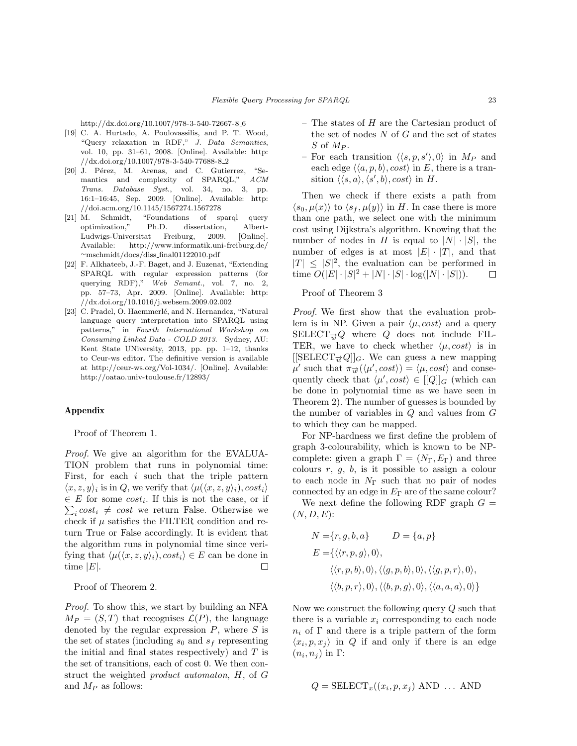http://dx.doi.org/10.1007/978-3-540-72667-8 6

- [19] C. A. Hurtado, A. Poulovassilis, and P. T. Wood, "Query relaxation in RDF," J. Data Semantics, vol. 10, pp. 31–61, 2008. [Online]. Available: http: //dx.doi.org/10.1007/978-3-540-77688-8 2
- [20] J. Pérez, M. Arenas, and C. Gutierrez, "Semantics and complexity of SPARQL," ACM Trans. Database Syst., vol. 34, no. 3, pp. 16:1–16:45, Sep. 2009. [Online]. Available: http: //doi.acm.org/10.1145/1567274.1567278
- [21] M. Schmidt, "Foundations of sparql query optimization," Ph.D. dissertation, Albert-Ludwigs-Universitat Freiburg, 2009. [Online]. Available: http://www.informatik.uni-freiburg.de/ ∼mschmidt/docs/diss final01122010.pdf
- [22] F. Alkhateeb, J.-F. Baget, and J. Euzenat, "Extending SPARQL with regular expression patterns (for querying RDF)," Web Semant., vol. 7, no. 2, pp. 57–73, Apr. 2009. [Online]. Available: http: //dx.doi.org/10.1016/j.websem.2009.02.002
- [23] C. Pradel, O. Haemmerlé, and N. Hernandez, "Natural language query interpretation into SPARQL using patterns," in Fourth International Workshop on Consuming Linked Data - COLD 2013. Sydney, AU: Kent State UNiversity, 2013, pp. pp. 1–12, thanks to Ceur-ws editor. The definitive version is available at http://ceur-ws.org/Vol-1034/. [Online]. Available: http://oatao.univ-toulouse.fr/12893/

## Appendix

Proof of Theorem 1.

Proof. We give an algorithm for the EVALUA-TION problem that runs in polynomial time: First, for each  $i$  such that the triple pattern  $\langle x, z, y \rangle_i$  is in Q, we verify that  $\langle \mu(\langle x, z, y \rangle_i), cost_i \rangle$  $\in E$  for some  $cost_i$ . If this is not the case, or if  $\sum_i cost_i \neq cost$  we return False. Otherwise we check if  $\mu$  satisfies the FILTER condition and return True or False accordingly. It is evident that the algorithm runs in polynomial time since verifying that  $\langle \mu(\langle x, z, y \rangle_i), cost_i \rangle \in E$  can be done in time  $|E|$ .  $\Box$ 

Proof of Theorem 2.

Proof. To show this, we start by building an NFA  $M_P = (S, T)$  that recognises  $\mathcal{L}(P)$ , the language denoted by the regular expression  $P$ , where  $S$  is the set of states (including  $s_0$  and  $s_f$  representing the initial and final states respectively) and  $T$  is the set of transitions, each of cost 0. We then construct the weighted product automaton, H, of G and  $M_P$  as follows:

- The states of H are the Cartesian product of the set of nodes  $N$  of  $G$  and the set of states  $S$  of  $M_P$ .
- For each transition  $\langle \langle s, p, s' \rangle, 0 \rangle$  in  $M_P$  and each edge  $\langle \langle a, p, b \rangle$ , cost $\rangle$  in E, there is a transition  $\langle \langle s, a \rangle, \langle s', b \rangle$ , cost $\rangle$  in H.

Then we check if there exists a path from  $\langle s_0, \mu(x) \rangle$  to  $\langle s_f, \mu(y) \rangle$  in H. In case there is more than one path, we select one with the minimum cost using Dijkstra's algorithm. Knowing that the number of nodes in H is equal to  $|N| \cdot |S|$ , the number of edges is at most  $|E| \cdot |T|$ , and that  $|T| \leq |S|^2$ , the evaluation can be performed in time  $O(|E| \cdot |S|^2 + |N| \cdot |S| \cdot \log(|N| \cdot |S|)).$  $\Box$ 

## Proof of Theorem 3

Proof. We first show that the evaluation problem is in NP. Given a pair  $\langle \mu, cost \rangle$  and a query SELECT<sub> $\vec{w}Q$ </sub> where Q does not include FIL-TER, we have to check whether  $\langle \mu, cost \rangle$  is in  $[[\text{SELECT}_{\overrightarrow{w}}Q]]_G$ . We can guess a new mapping  $\mu'$  such that  $\pi_{\overrightarrow{w}}(\langle \mu', cost \rangle) = \langle \mu, cost \rangle$  and consequently check that  $\langle \mu', cost \rangle \in [[Q]]_G$  (which can be done in polynomial time as we have seen in Theorem 2). The number of guesses is bounded by the number of variables in  $Q$  and values from  $G$ to which they can be mapped.

For NP-hardness we first define the problem of graph 3-colourability, which is known to be NPcomplete: given a graph  $\Gamma = (N_{\Gamma}, E_{\Gamma})$  and three colours  $r, g, b$ , is it possible to assign a colour to each node in  $N_{\Gamma}$  such that no pair of nodes connected by an edge in  $E_{\Gamma}$  are of the same colour?

We next define the following RDF graph  $G =$  $(N, D, E)$ :

$$
N = \{r, g, b, a\}
$$
  
\n
$$
D = \{a, p\}
$$
  
\n
$$
E = \{\langle \langle r, p, g \rangle, 0 \rangle,
$$
  
\n
$$
\langle \langle r, p, b \rangle, 0 \rangle, \langle \langle g, p, b \rangle, 0 \rangle, \langle \langle g, p, r \rangle, 0 \rangle,
$$
  
\n
$$
\langle \langle b, p, r \rangle, 0 \rangle, \langle \langle b, p, g \rangle, 0 \rangle, \langle \langle a, a, a \rangle, 0 \rangle \}
$$

Now we construct the following query Q such that there is a variable  $x_i$  corresponding to each node  $n_i$  of  $\Gamma$  and there is a triple pattern of the form  $\langle x_i, p, x_j \rangle$  in Q if and only if there is an edge  $(n_i, n_j)$  in  $\Gamma$ :

$$
Q = \text{SELECT}_{x}((x_i, p, x_j) \text{ AND } \dots \text{ AND}
$$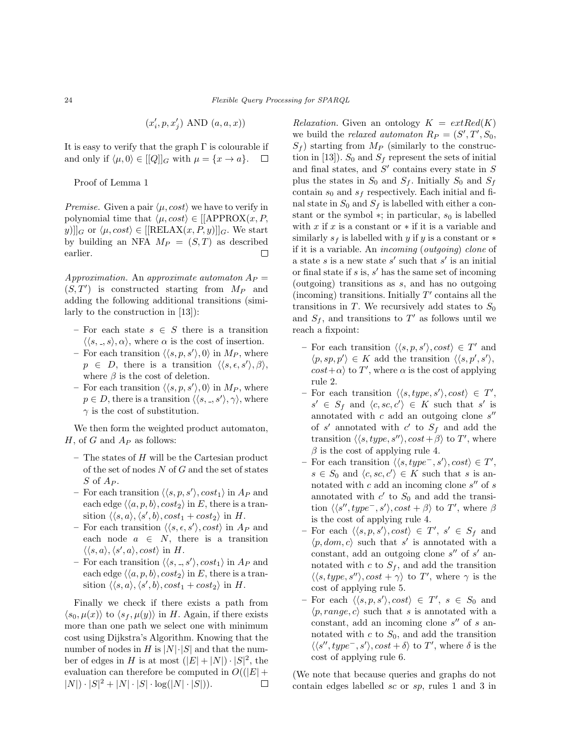$$
(x'_i, p, x'_j) \text{ AND } (a, a, x))
$$

It is easy to verify that the graph  $\Gamma$  is colourable if and only if  $\langle \mu, 0 \rangle \in [[Q]]_G$  with  $\mu = \{x \to a\}.$  $\Box$ 

Proof of Lemma 1

*Premise.* Given a pair  $\langle \mu, cost \rangle$  we have to verify in polynomial time that  $\langle \mu, cost \rangle \in [APPROX(x, P, \mathcal{L})]$ y)] $|G \text{ or } \langle \mu, cost \rangle \in \left[ \left[ \text{RELAX}(x, P, y) \right] \right]_G$ . We start by building an NFA  $M_P = (S, T)$  as described earlier.  $\Box$ 

Approximation. An approximate automaton  $A_P =$  $(S, T')$  is constructed starting from  $M_P$  and adding the following additional transitions (similarly to the construction in [13]):

- For each state  $s \in S$  there is a transition  $\langle \langle s, \xi, s \rangle, \alpha \rangle$ , where  $\alpha$  is the cost of insertion.
- For each transition  $\langle \langle s, p, s' \rangle, 0 \rangle$  in  $M_P$ , where  $p \in D$ , there is a transition  $\langle \langle s, \epsilon, s' \rangle, \beta \rangle$ , where  $\beta$  is the cost of deletion.
- For each transition  $\langle \langle s, p, s' \rangle, 0 \rangle$  in  $M_P$ , where  $p \in D$ , there is a transition  $\langle \langle s, \xi, s' \rangle, \gamma \rangle$ , where  $\gamma$  is the cost of substitution.

We then form the weighted product automaton, H, of G and  $A_P$  as follows:

- $-$  The states of  $H$  will be the Cartesian product of the set of nodes  $N$  of  $G$  and the set of states  $S$  of  $A_P$ .
- For each transition  $\langle \langle s, p, s' \rangle$ ,  $cost_1 \rangle$  in  $A_P$  and each edge  $\langle \langle a, p, b \rangle$ ,  $cost_2 \rangle$  in E, there is a transition  $\langle \langle s, a \rangle, \langle s', b \rangle$ ,  $cost_1 + cost_2 \rangle$  in H.
- For each transition  $\langle \langle s, \epsilon, s' \rangle$ ,  $cost \rangle$  in  $A_P$  and each node  $a \in N$ , there is a transition  $\langle \langle s, a \rangle, \langle s', a \rangle, cost \rangle$  in H.
- For each transition  $\langle \langle s, \, . \, , s' \rangle, cost_1 \rangle$  in  $A_P$  and each edge  $\langle \langle a, p, b \rangle$ ,  $cost_2 \rangle$  in E, there is a transition  $\langle \langle s, a \rangle, \langle s', b \rangle$ ,  $cost_1 + cost_2 \rangle$  in H.

Finally we check if there exists a path from  $\langle s_0, \mu(x) \rangle$  to  $\langle s_f, \mu(y) \rangle$  in H. Again, if there exists more than one path we select one with minimum cost using Dijkstra's Algorithm. Knowing that the number of nodes in H is  $|N|\cdot|S|$  and that the number of edges in H is at most  $(|E|+|N|)\cdot|S|^2$ , the evaluation can therefore be computed in  $O((|E| +$  $|N| \cdot |S|^2 + |N| \cdot |S| \cdot \log(|N| \cdot |S|)$ .  $\Box$ 

Relaxation. Given an ontology  $K = extRed(K)$ we build the *relaxed automaton*  $R_P = (S', T', S_0,$  $S_f$ ) starting from  $M_P$  (similarly to the construction in [13]).  $S_0$  and  $S_f$  represent the sets of initial and final states, and  $S'$  contains every state in  $S$ plus the states in  $S_0$  and  $S_f$ . Initially  $S_0$  and  $S_f$ contain  $s_0$  and  $s_f$  respectively. Each initial and final state in  $S_0$  and  $S_f$  is labelled with either a constant or the symbol  $*$ ; in particular,  $s_0$  is labelled with  $x$  if  $x$  is a constant or  $*$  if it is a variable and similarly  $s_f$  is labelled with y if y is a constant or  $*$ if it is a variable. An incoming (outgoing) clone of a state  $s$  is a new state  $s'$  such that  $s'$  is an initial or final state if  $s$  is,  $s'$  has the same set of incoming (outgoing) transitions as s, and has no outgoing (incoming) transitions. Initially  $T'$  contains all the transitions in  $T$ . We recursively add states to  $S_0$ and  $S_f$ , and transitions to T' as follows until we reach a fixpoint:

- For each transition  $\langle \langle s, p, s' \rangle, cost \rangle \in T'$  and  $\langle p, sp, p' \rangle \in K$  add the transition  $\langle \langle s, p', s' \rangle$ ,  $cost + \alpha$  to T', where  $\alpha$  is the cost of applying rule 2.
- For each transition  $\langle \langle s, type, s' \rangle, cost \rangle \in T',$  $s' \in S_f$  and  $\langle c, sc, c' \rangle \in K$  such that s' is annotated with  $c$  add an outgoing clone  $s''$ of s' annotated with  $c'$  to  $S_f$  and add the transition  $\langle \langle s, type, s'' \rangle, cost + \beta \rangle$  to T', where  $\beta$  is the cost of applying rule 4.
- For each transition  $\langle \langle s, type^-, s' \rangle, cost \rangle \in T'$ ,  $s \in S_0$  and  $\langle c, sc, c' \rangle \in K$  such that s is annotated with  $c$  add an incoming clone  $s''$  of  $s$ annotated with  $c'$  to  $S_0$  and add the transition  $\langle \langle s'', type^-, s' \rangle, cost + \beta \rangle$  to T', where  $\beta$ is the cost of applying rule 4.
- For each  $\langle \langle s, p, s' \rangle, cost \rangle \in T', s' \in S_f$  and  $\langle p, dom, c \rangle$  such that s' is annotated with a constant, add an outgoing clone  $s''$  of  $s'$  annotated with  $c$  to  $S_f$ , and add the transition  $\langle \langle s, type, s'' \rangle, cost + \gamma \rangle$  to T', where  $\gamma$  is the cost of applying rule 5.
- For each  $\langle \langle s, p, s' \rangle, cost \rangle \in T', s \in S_0$  and  $\langle p, range, c \rangle$  such that s is annotated with a constant, add an incoming clone  $s''$  of s annotated with  $c$  to  $S_0$ , and add the transition  $\langle \langle s'', type^-, s' \rangle, cost + \delta \rangle$  to T', where  $\delta$  is the cost of applying rule 6.

(We note that because queries and graphs do not contain edges labelled sc or sp, rules 1 and 3 in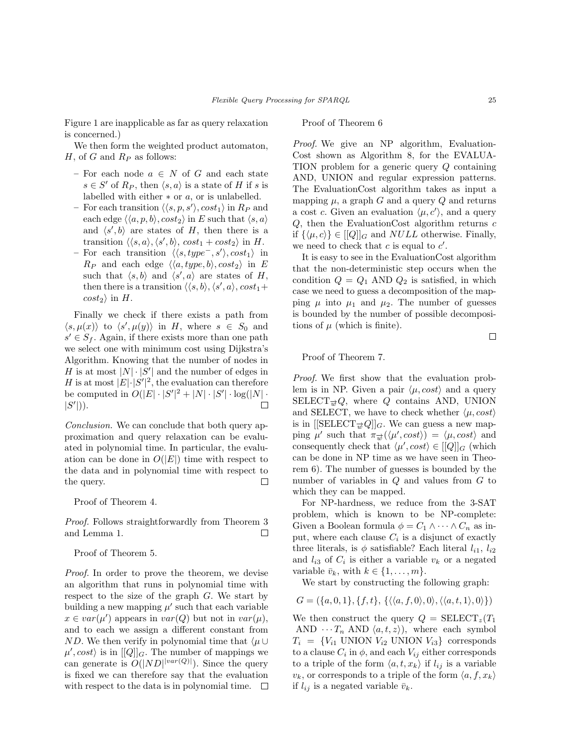Figure 1 are inapplicable as far as query relaxation is concerned.)

We then form the weighted product automaton,  $H$ , of  $G$  and  $R_P$  as follows:

- For each node  $a \in N$  of G and each state  $s \in S'$  of  $R_P$ , then  $\langle s, a \rangle$  is a state of H if s is labelled with either  $*$  or  $a$ , or is unlabelled.
- For each transition  $\langle \langle s, p, s' \rangle$ ,  $cost_1 \rangle$  in  $R_P$  and each edge  $\langle \langle a, p, b \rangle$ ,  $cost_2 \rangle$  in E such that  $\langle s, a \rangle$ and  $\langle s', b \rangle$  are states of H, then there is a transition  $\langle \langle s, a \rangle, \langle s', b \rangle$ ,  $cost_1 + cost_2 \rangle$  in H.
- For each transition  $\langle \langle s, type^-, s' \rangle, cost_1 \rangle$  in  $R_P$  and each edge  $\langle \langle a, type, b \rangle, cost_2 \rangle$  in E such that  $\langle s, b \rangle$  and  $\langle s', a \rangle$  are states of H, then there is a transition  $\langle \langle s, b \rangle, \langle s', a \rangle$ ,  $cost_1 +$  $cost_2$  in H.

Finally we check if there exists a path from  $\langle s, \mu(x) \rangle$  to  $\langle s', \mu(y) \rangle$  in H, where  $s \in S_0$  and  $s' \in S_f$ . Again, if there exists more than one path we select one with minimum cost using Dijkstra's Algorithm. Knowing that the number of nodes in H is at most  $|N| \cdot |S'|$  and the number of edges in H is at most  $|E|\cdot|S'|^2$ , the evaluation can therefore be computed in  $O(|E| \cdot |S'|^2 + |N| \cdot |S'| \cdot \log(|N| \cdot$  $|S'|$ ).  $\Box$ 

Conclusion. We can conclude that both query approximation and query relaxation can be evaluated in polynomial time. In particular, the evaluation can be done in  $O(|E|)$  time with respect to the data and in polynomial time with respect to the query.  $\Box$ 

Proof of Theorem 4.

Proof. Follows straightforwardly from Theorem 3 and Lemma 1.  $\Box$ 

Proof of Theorem 5.

Proof. In order to prove the theorem, we devise an algorithm that runs in polynomial time with respect to the size of the graph  $G$ . We start by building a new mapping  $\mu'$  such that each variable  $x \in var(\mu')$  appears in  $var(Q)$  but not in  $var(\mu)$ , and to each we assign a different constant from ND. We then verify in polynomial time that  $\langle \mu \cup$  $\mu', cost\rangle$  is in  $[[Q]]_G$ . The number of mappings we can generate is  $O(|ND|^{|var(Q)|})$ . Since the query is fixed we can therefore say that the evaluation with respect to the data is in polynomial time.  $\Box$ 

## Proof of Theorem 6

Proof. We give an NP algorithm, Evaluation-Cost shown as Algorithm 8, for the EVALUA-TION problem for a generic query Q containing AND, UNION and regular expression patterns. The EvaluationCost algorithm takes as input a mapping  $\mu$ , a graph G and a query Q and returns a cost c. Given an evaluation  $\langle \mu, c' \rangle$ , and a query  $Q$ , then the EvaluationCost algorithm returns  $c$ if  $\{\langle \mu, c \rangle\} \in [[Q]]_G$  and *NULL* otherwise. Finally, we need to check that  $c$  is equal to  $c'$ .

It is easy to see in the EvaluationCost algorithm that the non-deterministic step occurs when the condition  $Q = Q_1$  AND  $Q_2$  is satisfied, in which case we need to guess a decomposition of the mapping  $\mu$  into  $\mu_1$  and  $\mu_2$ . The number of guesses is bounded by the number of possible decompositions of  $\mu$  (which is finite).

 $\Box$ 

Proof of Theorem 7.

Proof. We first show that the evaluation problem is in NP. Given a pair  $\langle \mu, cost \rangle$  and a query SELECT<sub> $\vec{w}Q$ </sub>, where Q contains AND, UNION and SELECT, we have to check whether  $\langle \mu, cost \rangle$ is in  $[[\text{SELECT}_{\overrightarrow{w}}Q]]_G$ . We can guess a new mapping  $\mu'$  such that  $\pi_{\overrightarrow{w}}(\langle \mu', cost \rangle) = \langle \mu, cost \rangle$  and consequently check that  $\langle \mu', cost \rangle \in [[Q]]_G$  (which can be done in NP time as we have seen in Theorem 6). The number of guesses is bounded by the number of variables in Q and values from G to which they can be mapped.

For NP-hardness, we reduce from the 3-SAT problem, which is known to be NP-complete: Given a Boolean formula  $\phi = C_1 \wedge \cdots \wedge C_n$  as input, where each clause  $C_i$  is a disjunct of exactly three literals, is  $\phi$  satisfiable? Each literal  $l_{i1}$ ,  $l_{i2}$ and  $l_{i3}$  of  $C_i$  is either a variable  $v_k$  or a negated variable  $\bar{v}_k$ , with  $k \in \{1, \ldots, m\}$ .

We start by constructing the following graph:

 $G = (\{a, 0, 1\}, \{f, t\}, \{\langle \langle a, f, 0 \rangle, 0 \rangle, \langle \langle a, t, 1 \rangle, 0 \rangle\})$ 

We then construct the query  $Q = \text{SELECT}_z(T_1)$ AND  $\cdots T_n$  AND  $\langle a, t, z \rangle$ , where each symbol  $T_i = \{V_{i1}$  UNION  $V_{i2}$  UNION  $V_{i3}$  corresponds to a clause  $C_i$  in  $\phi$ , and each  $V_{ij}$  either corresponds to a triple of the form  $\langle a, t, x_k \rangle$  if  $l_{ij}$  is a variable  $v_k$ , or corresponds to a triple of the form  $\langle a, f, x_k \rangle$ if  $l_{ij}$  is a negated variable  $\bar{v}_k$ .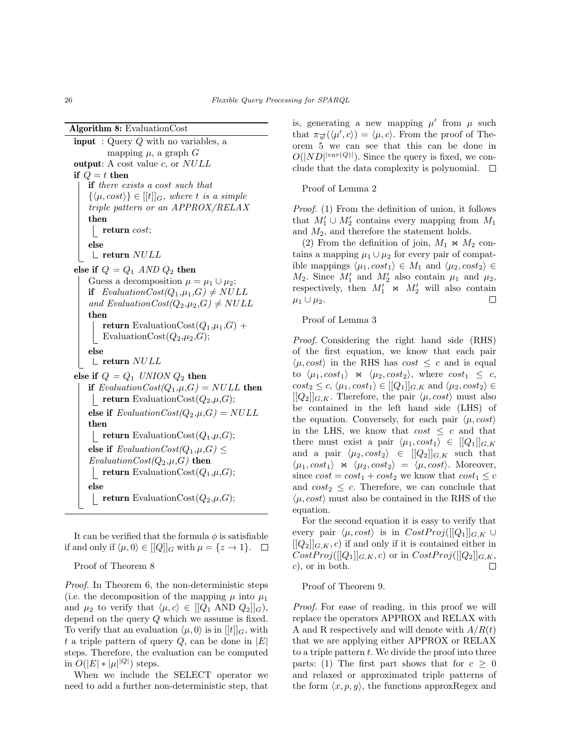Algorithm 8: EvaluationCost

```
input : Query Q with no variables, a
        mapping \mu, a graph Goutput: A cost value c, or NULLif Q = t then
   if there exists a cost such that
    \{\langle \mu, cost \rangle\} \in [[t]]_G, where t is a simple
    triple pattern or an APPROX/RELAX
    then
    \mathbf{L}return cost;
   else
    \mathcal{L} return NULLelse if Q = Q_1 AND Q_2 then
   Guess a decomposition \mu = \mu_1 \cup \mu_2;
   if EvaluationCost(Q_1,\mu_1,G) \neq NULLand EvaluationCost(Q_2,\mu_2,G) \neq NULLthen
       return EvaluationCost(Q_1,\mu_1,G) +
       EvaluationCost(Q_2,\mu_2,G);else
    \mathcal{L} return NULLelse if Q = Q_1 UNION Q_2 then
   if EvaluationCost(Q_1, \mu, G) = NULL then
    return EvaluationCost(Q_2,\mu,G);
   else if EvaluationCost(Q_2, \mu, G) = NULLthen
    return EvaluationCost(Q_1,\mu,G);
    else if EvaluationCost(Q_1,\mu,G) \leqEvaluationCost(Q_2,\mu,G) then
    return EvaluationCost(Q_1,\mu,G);
    else
       return EvaluationCost(Q_2,\mu,G);
```
It can be verified that the formula  $\phi$  is satisfiable if and only if  $\langle \mu, 0 \rangle \in [[Q]]_G$  with  $\mu = \{z \to 1\}.$ 

Proof of Theorem 8

Proof. In Theorem 6, the non-deterministic steps (i.e. the decomposition of the mapping  $\mu$  into  $\mu_1$ ) and  $\mu_2$  to verify that  $\langle \mu, c \rangle \in [[Q_1 \text{ AND } Q_2]]_G$ , depend on the query Q which we assume is fixed. To verify that an evaluation  $\langle \mu, 0 \rangle$  is in  $[[t]]_G$ , with t a triple pattern of query  $Q$ , can be done in  $|E|$ steps. Therefore, the evaluation can be computed in  $O(|E| * |\mu|^{|Q|})$  steps.

When we include the SELECT operator we need to add a further non-deterministic step, that

is, generating a new mapping  $\mu'$  from  $\mu$  such that  $\pi_{\overrightarrow{w}}(\langle \mu', c \rangle) = \langle \mu, c \rangle$ . From the proof of Theorem 5 we can see that this can be done in  $O(|ND|^{|var(Q)|})$ . Since the query is fixed, we conclude that the data complexity is polynomial.  $\Box$ 

Proof of Lemma 2

Proof. (1) From the definition of union, it follows that  $M'_1 \cup M'_2$  contains every mapping from  $M_1$ and  $M_2$ , and therefore the statement holds.

(2) From the definition of join,  $M_1 \Join M_2$  contains a mapping  $\mu_1 \cup \mu_2$  for every pair of compatible mappings  $\langle \mu_1, cost_1 \rangle \in M_1$  and  $\langle \mu_2, cost_2 \rangle \in$  $M_2$ . Since  $M'_1$  and  $M'_2$  also contain  $\mu_1$  and  $\mu_2$ , respectively, then  $M'_1 \Join M'_2$  will also contain  $\mu_1 \cup \mu_2$ . □

Proof of Lemma 3

Proof. Considering the right hand side (RHS) of the first equation, we know that each pair  $\langle \mu, cost \rangle$  in the RHS has cost  $\leq c$  and is equal to  $\langle \mu_1, cost_1 \rangle \propto \langle \mu_2, cost_2 \rangle$ , where  $cost_1 \leq c$ ,  $cost_2 \leq c, \langle \mu_1, cost_1 \rangle \in [[Q_1]]_{G,K}$  and  $\langle \mu_2, cost_2 \rangle \in$  $[[Q_2]]_{G,K}$ . Therefore, the pair  $\langle \mu, cost \rangle$  must also be contained in the left hand side (LHS) of the equation. Conversely, for each pair  $\langle \mu, cost \rangle$ in the LHS, we know that  $cost \leq c$  and that there must exist a pair  $\langle \mu_1, cost_1 \rangle \in [[Q_1]]_{G,K}$ and a pair  $\langle \mu_2, cost_2 \rangle \in [[Q_2]]_{G,K}$  such that  $\langle \mu_1, cost_1 \rangle \propto \langle \mu_2, cost_2 \rangle = \langle \mu, cost \rangle$ . Moreover, since  $cost = cost_1 + cost_2$  we know that  $cost_1 \leq c$ and  $cost_2 \leq c$ . Therefore, we can conclude that  $\langle \mu, cost \rangle$  must also be contained in the RHS of the equation.

For the second equation it is easy to verify that every pair  $\langle \mu, cost \rangle$  is in  $CostProj([[Q_1]]_{G,K} \cup$  $[[Q_2]]_{G,K}, c)$  if and only if it is contained either in  $CostProj([[Q_1]]_{G,K}, c)$  or in  $CostProj([[Q_2]]_{G,K}, c)$  $c$ , or in both. □

Proof of Theorem 9.

Proof. For ease of reading, in this proof we will replace the operators APPROX and RELAX with A and R respectively and will denote with  $A/R(t)$ that we are applying either APPROX or RELAX to a triple pattern  $t$ . We divide the proof into three parts: (1) The first part shows that for  $c \geq 0$ and relaxed or approximated triple patterns of the form  $\langle x, p, y \rangle$ , the functions approxRegex and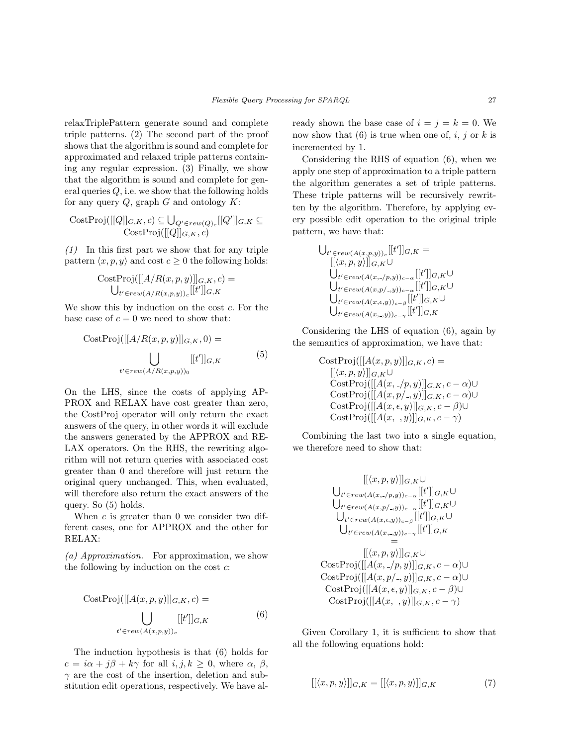relaxTriplePattern generate sound and complete triple patterns. (2) The second part of the proof shows that the algorithm is sound and complete for approximated and relaxed triple patterns containing any regular expression. (3) Finally, we show that the algorithm is sound and complete for general queries  $Q$ , i.e. we show that the following holds for any query  $Q$ , graph  $G$  and ontology  $K$ :

$$
\mathrm{CostProj}([[Q]]_{G,K}, c) \subseteq \bigcup_{Q' \in rew(Q)_c}[[Q']]_{G,K} \subseteq \mathrm{CostProj}([[Q]]_{G,K}, c)
$$

 $(1)$  In this first part we show that for any triple pattern  $\langle x, p, y \rangle$  and cost  $c \geq 0$  the following holds:

$$
\text{CostProj}([[A/R(x, p, y)]]_{G,K}, c) = \bigcup_{t' \in \text{rew}(A/R(x, p, y))_c} [[t']]_{G,K}
$$

We show this by induction on the cost  $c$ . For the base case of  $c = 0$  we need to show that:

$$
CostProj([[A/R(x, p, y)]]_{G,K}, 0) =
$$
  

$$
\bigcup_{t' \in rew(A/R(x, p, y))_0} [[t']]_{G,K}
$$
 (5)

On the LHS, since the costs of applying AP-PROX and RELAX have cost greater than zero, the CostProj operator will only return the exact answers of the query, in other words it will exclude the answers generated by the APPROX and RE-LAX operators. On the RHS, the rewriting algorithm will not return queries with associated cost greater than 0 and therefore will just return the original query unchanged. This, when evaluated, will therefore also return the exact answers of the query. So (5) holds.

When c is greater than 0 we consider two different cases, one for APPROX and the other for RELAX:

(a) Approximation. For approximation, we show the following by induction on the cost  $c$ :

$$
CostProj([[A(x, p, y)]]_{G,K}, c) =
$$
  

$$
\bigcup_{t' \in rew(A(x, p, y))_c} [[t']]_{G,K}
$$
 (6)

The induction hypothesis is that (6) holds for  $c = i\alpha + j\beta + k\gamma$  for all  $i, j, k \geq 0$ , where  $\alpha, \beta$ ,  $\gamma$  are the cost of the insertion, deletion and substitution edit operations, respectively. We have already shown the base case of  $i = j = k = 0$ . We now show that  $(6)$  is true when one of, i, j or k is incremented by 1.

Considering the RHS of equation (6), when we apply one step of approximation to a triple pattern the algorithm generates a set of triple patterns. These triple patterns will be recursively rewritten by the algorithm. Therefore, by applying every possible edit operation to the original triple pattern, we have that:

$$
\bigcup_{t' \in rew(A(x,p,y))_c} [[t']]_{G,K} =
$$
  
\n
$$
[[\langle x, p, y \rangle]]_{G,K} \cup
$$
  
\n
$$
\bigcup_{t' \in rew(A(x,-/p,y))_{c-\alpha}} [[t']]_{G,K} \cup
$$
  
\n
$$
\bigcup_{t' \in rew(A(x,e,y))_{c-\beta}} [[t']]_{G,K} \cup
$$
  
\n
$$
\bigcup_{t' \in rew(A(x,-,y))_{c-\gamma}} [[t']]_{G,K}
$$

Considering the LHS of equation (6), again by the semantics of approximation, we have that:

CostProj([[A(x, p, y)]]
$$
\sigma
$$
, $\kappa$ ,  $c$ ) =  
\n[[ $\langle x, p, y \rangle$ ]] $\sigma$ , $\kappa \cup$   
\nCostProj([[A(x, -/p, y)]] $\sigma$ , $\kappa$ ,  $c - \alpha) \cup$   
\nCostProj([[A(x, p/-, y)]] $\sigma$ , $\kappa$ ,  $c - \alpha) \cup$   
\nCostProj([[A(x, \epsilon, y)]] $\sigma$ , $\kappa$ ,  $c - \beta) \cup$   
\nCostProj([[A(x, -, y)]] $\sigma$ , $\kappa$ ,  $c - \gamma)$ 

Combining the last two into a single equation, we therefore need to show that:

$$
\begin{array}{c}\n[[\langle x, p, y \rangle]]_{G,K}\cup \\
\bigcup_{t' \in rew(A(x, -, /p, y))_{c-\alpha}}[[t']]_{G,K}\cup \\
\bigcup_{t' \in rew(A(x, p/., y))_{c-\beta}}[[t']]_{G,K}\cup \\
\bigcup_{t' \in rew(A(x, -, y))_{c-\beta}}[[t']]_{G,K}\cup \\
\bigcup_{t' \in rew(A(x, -, y))_{c-\gamma}}[[t']]_{G,K} \\
= \\
[[\langle x, p, y \rangle]]_{G,K}\cup \\
\operatorname{CostProj}([[A(x, -, /p, y)]]_{G,K}, c-\alpha)\cup \\
\operatorname{CostProj}([[A(x, e, y)]]_{G,K}, c-\beta)\cup \\
\operatorname{CostProj}([[A(x, -, y)]]_{G,K}, c-\gamma)\n\end{array}
$$

Given Corollary 1, it is sufficient to show that all the following equations hold:

$$
[[\langle x, p, y \rangle]]_{G,K} = [[\langle x, p, y \rangle]]_{G,K} \tag{7}
$$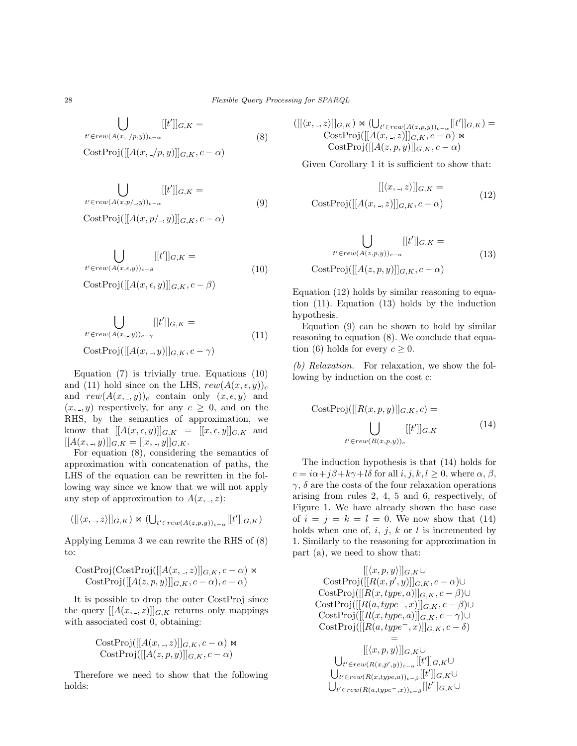$$
\bigcup_{t' \in rew(A(x, -/p, y))_{c-\alpha}} [[t']]_{G,K} =
$$
\n(8)

$$
CostProj([[A(x, \_/p, y)]]_{G,K}, c - \alpha)
$$

$$
\bigcup_{t' \in rew(A(x,p/-, y))_{c-\alpha}} [[t']]_{G,K} =
$$
\n(9)

 $CostProj([[A(x, p/_{\neg}, y)]]_{G,K}, c - \alpha)$ 

$$
\bigcup_{t' \in rew(A(x,\epsilon,y))_{c-\beta}} [[t']]_{G,K} =
$$
\n
$$
\bigcup_{C \in \mathcal{F}(\text{Dra}(t)[A(\alpha,\epsilon,\epsilon))]} [[t']]_{G,K} \tag{10}
$$

$$
CostProj([[A(x, \epsilon, y)]]_{G,K}, c - \beta)
$$

$$
\bigcup_{t' \in rew(A(x_{\cdot},y))_{c-\gamma}} [[t']]_{G,K} =
$$
  

$$
\operatorname{CostProj}([[A(x_{\cdot},y)]]_{G,K}, c-\gamma)
$$
 (11)

Equation (7) is trivially true. Equations (10) and (11) hold since on the LHS,  $rew(A(x, \epsilon, y))_c$ and  $rew(A(x, ., y))_c$  contain only  $(x, \epsilon, y)$  and  $(x, \, , y)$  respectively, for any  $c \geq 0$ , and on the RHS, by the semantics of approximation, we know that  $[[A(x, \epsilon, y)]]_{G,K} = [[x, \epsilon, y]]_{G,K}$  and  $[[A(x, \_y)]]_{G,K} = [[x, \_y]]_{G,K}.$ 

For equation (8), considering the semantics of approximation with concatenation of paths, the LHS of the equation can be rewritten in the following way since we know that we will not apply any step of approximation to  $A(x, z)$ :

$$
([[\langle x, \_, z \rangle]]_{G,K}) \bowtie (\bigcup_{t' \in rew(A(z,p,y))_{c-\alpha}}[[t']]_{G,K})
$$

Applying Lemma 3 we can rewrite the RHS of (8) to:

CostProj(CostProj([[A(x, -, z)]]<sub>G,K</sub>, 
$$
c - \alpha
$$
)  $\Join$   
CostProj([[A(z, p, y)]]<sub>G,K</sub>,  $c - \alpha$ ),  $c - \alpha$ )

It is possible to drop the outer CostProj since the query  $[[A(x, ., z)]]_{G,K}$  returns only mappings with associated cost 0, obtaining:

CostProj([[A(x, -, z)]]<sub>G,K</sub>, 
$$
c - \alpha
$$
)  $\bowtie$   
CostProj([[A(z, p, y)]]<sub>G,K</sub>,  $c - \alpha$ )

Therefore we need to show that the following holds:

$$
\begin{aligned} ([[\langle x,.,z\rangle]]_{G,K}) &\ltimes ( \bigcup_{t'\in rew(A(z,p,y))_{c-\alpha}} [[t']]_{G,K}) = \\ &\text{CostProj}([[A(x,.,z)]]_{G,K}, c-\alpha) &\ltimes \\ &\text{CostProj}([[A(z,p,y)]]_{G,K}, c-\alpha) &\end{aligned}
$$

Given Corollary 1 it is sufficient to show that:

$$
[[\langle x, \cdot, z \rangle]]_{G,K} =
$$
  
CostProj( $[[A(x, \cdot, z)]]_{G,K}, c - \alpha$ ) (12)

$$
\bigcup_{t' \in rew(A(z,p,y))_{c-\alpha}} [[t']]_{G,K} =
$$
  
CostProj([[A(z,p,y)]]<sub>G,K</sub>, c - \alpha) (13)

Equation (12) holds by similar reasoning to equation (11). Equation (13) holds by the induction hypothesis.

Equation (9) can be shown to hold by similar reasoning to equation (8). We conclude that equation (6) holds for every  $c > 0$ .

(b) Relaxation. For relaxation, we show the following by induction on the cost c:

$$
CostProj([[R(x, p, y)]]_{G,K}, c) =
$$
  

$$
\bigcup_{t' \in rew(R(x, p, y))_c} [[t']]_{G,K}
$$
 (14)

The induction hypothesis is that (14) holds for  $c = i\alpha + j\beta + k\gamma + l\delta$  for all  $i, j, k, l \geq 0$ , where  $\alpha, \beta$ ,  $\gamma$ ,  $\delta$  are the costs of the four relaxation operations arising from rules 2, 4, 5 and 6, respectively, of Figure 1. We have already shown the base case of  $i = j = k = l = 0$ . We now show that (14) holds when one of,  $i, j, k$  or l is incremented by 1. Similarly to the reasoning for approximation in part (a), we need to show that:

$$
[[\langle x, p, y \rangle]]_{G,K} \cup
$$
  
\nCostProj([[R(x, p', y)]]\_{G,K}, c - \alpha) \cup  
\nCostProj([[R(x, type, a)]]\_{G,K}, c - \beta) \cup  
\nCostProj([[R(a, type<sup>-</sup>, x)]]\_{G,K}, c - \beta) \cup  
\nCostProj([[R(x, type, a)]]\_{G,K}, c - \gamma) \cup  
\nCostProj([[R(a, type<sup>-</sup>, x)]]\_{G,K}, c - \delta)  
\n=  
\n[[\langle x, p, y \rangle]]\_{G,K} \cup  
\n\bigcup\_{t' \in rew(R(x, p', y))\_{c-\alpha}} [[t']]\_{G,K} \cup  
\n\bigcup\_{t' \in rew(R(x, type, a))\_{c-\beta}} [[t']]\_{G,K} \cup

 $\bigcup_{t' \in rew(R(a, type^-, x))_{c-\beta}}[[t']]_{G,K} \cup$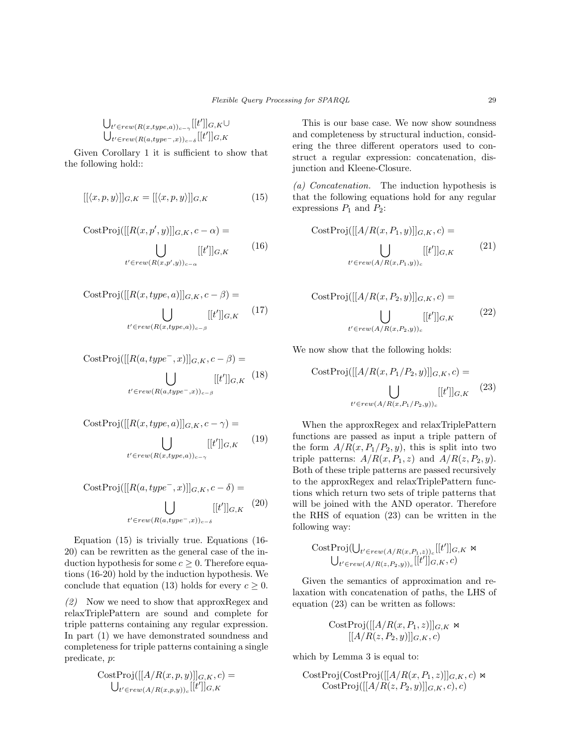$$
\bigcup\nolimits_{t' \in rew(R(x, type, a))_{c-\gamma}}[[t']]_{G,K}\cup \bigcup\nolimits_{t' \in rew(R(a, type^-, x))_{c-\delta}}[[t']]_{G,K}
$$

Given Corollary 1 it is sufficient to show that the following hold::

$$
[[\langle x, p, y \rangle]]_{G,K} = [[\langle x, p, y \rangle]]_{G,K} \tag{15}
$$

$$
CostProj([[R(x, p', y)]]_{G,K}, c - \alpha) =
$$

$$
\begin{bmatrix} \vdots \\ \vdots \\ \vdots \\ \vdots \end{bmatrix} \begin{bmatrix} [t']]_{G,K} & (16) \end{bmatrix}
$$

$$
t' \in rew(R(x,p',y))_{c-\alpha}
$$

$$
CostProj([[R(x, type, a)]]_{G,K}, c - \beta) = \bigcup_{t' \in rew(R(x, type, a))_{c-\beta}} [[t']]_{G,K} \qquad (17)
$$

$$
CostProj([[R(a, type^{-}, x)]]_{G,K}, c - \beta) =
$$
  

$$
\bigcup_{t' \in rew(R(a, type^{-}, x))_{c - \beta}} [[t']]_{G,K} (18)
$$

CostProj([[
$$
R(x, type, a)
$$
]] $G, K, c - \gamma$ ) =  
\n
$$
\bigcup_{t' \in rew(R(x, type, a))_{c-\gamma}} [[t']]_{G,K} \qquad (19)
$$

$$
CostProj([[R(a, type^{-}, x)]]_{G,K}, c - \delta) = \bigcup_{t' \in rew(R(a, type^{-}, x))_{c - \delta}} [[t']]_{G,K} \quad (20)
$$

Equation (15) is trivially true. Equations (16- 20) can be rewritten as the general case of the induction hypothesis for some  $c \geq 0$ . Therefore equations (16-20) hold by the induction hypothesis. We conclude that equation (13) holds for every  $c \geq 0$ .

 $(2)$  Now we need to show that approxRegex and relaxTriplePattern are sound and complete for triple patterns containing any regular expression. In part (1) we have demonstrated soundness and completeness for triple patterns containing a single predicate, p:

$$
\text{CostProj}([[A/R(x, p, y)]]_{G,K}, c) = \bigcup_{t' \in \text{rew}(A/R(x, p, y))_c} [[t']]_{G,K}
$$

This is our base case. We now show soundness and completeness by structural induction, considering the three different operators used to construct a regular expression: concatenation, disjunction and Kleene-Closure.

(a) Concatenation. The induction hypothesis is that the following equations hold for any regular expressions  $P_1$  and  $P_2$ :

$$
CostProj([[A/R(x, P_1, y)]]_{G,K}, c) =
$$
  

$$
\bigcup_{t' \in rew(A/R(x, P_1, y))_c} [[t']]_{G,K}
$$
 (21)

$$
CostProj([[A/R(x, P_2, y)]]_{G,K}, c) =
$$
  

$$
\bigcup_{t' \in rew(A/R(x, P_2, y))_c} [[t']]_{G,K}
$$
 (22)

We now show that the following holds:

$$
CostProj([[A/R(x, P1/P2, y)]]G,K, c) =
$$

$$
\bigcup_{t' \in \text{rew}(A/R(x, P1/P2, y))_{c}} [[t']]G,K (23)
$$

When the approxRegex and relaxTriplePattern functions are passed as input a triple pattern of the form  $A/R(x, P_1/P_2, y)$ , this is split into two triple patterns:  $A/R(x, P_1, z)$  and  $A/R(z, P_2, y)$ . Both of these triple patterns are passed recursively to the approxRegex and relaxTriplePattern functions which return two sets of triple patterns that will be joined with the AND operator. Therefore the RHS of equation (23) can be written in the following way:

CostProj
$$
(\bigcup_{t' \in rew(A/R(x,P_1,z))_c}[[t']]_{G,K} \Join \bigcup_{t' \in rew(A/R(z,P_2,y))_c}[[t']]_{G,K}, c)
$$

Given the semantics of approximation and relaxation with concatenation of paths, the LHS of equation (23) can be written as follows:

CostProj
$$
\begin{aligned} \text{CostProj}([[A/R(x, P_1, z)]]_{G,K} \bowtie \\ & [[A/R(z, P_2, y)]]_{G,K}, c) \end{aligned}
$$

which by Lemma 3 is equal to:

CostProj(CostProj([[A/R(x, P<sub>1</sub>, z)]]<sub>G,K</sub>, c) 
$$
\Join
$$
 CostProj([[A/R(z, P<sub>2</sub>, y)]]<sub>G,K</sub>, c), c)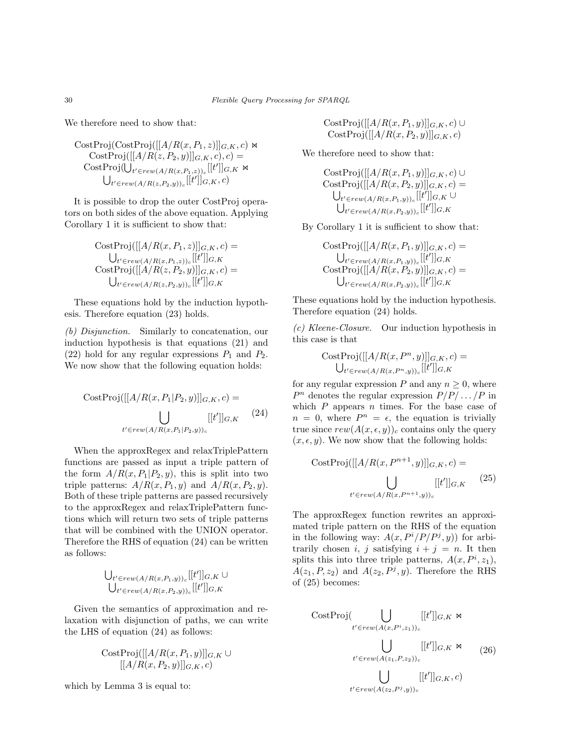We therefore need to show that:

CostProj(CostProj([[A/R(x, P<sub>1</sub>, z)]]
$$
G,K
$$
,  $c)$   $\bowtie$   
\nCostProj([[A/R(z, P<sub>2</sub>, y)]] $G,K$ ,  $c)$ ,  $c)$  =  
\nCostProj([[A/Ez, P<sub>1</sub>, z))<sub>e</sub>[[t']] $G,K$   $\bowtie$   
\n $\bigcup_{t' \in rew(A/R(z, P_2, y))_c}[[t']]G,K, c)$ 

It is possible to drop the outer CostProj operators on both sides of the above equation. Applying Corollary 1 it is sufficient to show that:

CostProj([[A/R(x, P<sub>1</sub>, z)]]<sub>G,K</sub>, c) =  
\n
$$
\bigcup_{t' \in rev(A/R(x, P_1, z))_c} [[t']]_{G,K}
$$
\nCostProj([[A/R(z, P<sub>2</sub>, y)]]<sub>G,K</sub>, c) =  
\n
$$
\bigcup_{t' \in rev(A/R(z, P_2, y))_c} [[t']]_{G,K}
$$

These equations hold by the induction hypothesis. Therefore equation (23) holds.

(b) Disjunction. Similarly to concatenation, our induction hypothesis is that equations (21) and (22) hold for any regular expressions  $P_1$  and  $P_2$ . We now show that the following equation holds:

$$
CostProj([[A/R(x, P1|P2, y)]]G,K, c) =
$$
  

$$
\bigcup_{t' \in rew(A/R(x, P1|P2, y))c} [[t']]G,K (24)
$$

When the approxRegex and relaxTriplePattern functions are passed as input a triple pattern of the form  $A/R(x, P_1|P_2, y)$ , this is split into two triple patterns:  $A/R(x, P_1, y)$  and  $A/R(x, P_2, y)$ . Both of these triple patterns are passed recursively to the approxRegex and relaxTriplePattern functions which will return two sets of triple patterns that will be combined with the UNION operator. Therefore the RHS of equation (24) can be written as follows:

$$
\bigcup\nolimits_{t' \in rew(A/R(x,P_1,y))_c}[[t']]_{G,K} \cup \bigcup\nolimits_{t' \in rew(A/R(x,P_2,y))_c}[[t']]_{G,K}
$$

Given the semantics of approximation and relaxation with disjunction of paths, we can write the LHS of equation (24) as follows:

CostProj
$$
\begin{aligned} \text{CostProj}([[A/R(x, P_1, y)]]_{G,K} \cup \\ & [[A/R(x, P_2, y)]]_{G,K}, c) \end{aligned}
$$

which by Lemma 3 is equal to:

 $CostProj([[A/R(x, P_1, y)]]_{G,K}, c) \cup$  $CostProj([[A/R(x, P_2, y)]]_{G,K}, c)$ 

We therefore need to show that:

CostProj([[A/R(x, P<sub>1</sub>, y)]]<sub>G,K</sub>, c) 
$$
\cup
$$
  
\nCostProj([[A/R(x, P<sub>2</sub>, y)]]<sub>G,K</sub>, c) =  
\n $\bigcup_{t' \in rev(A/R(x, P_1, y))_c} [[t']]_{G,K} \cup$   
\n $\bigcup_{t' \in rev(A/R(x, P_2, y))_c} [[t']]_{G,K}$ 

By Corollary 1 it is sufficient to show that:

CostProj([[A/R(x, P<sub>1</sub>, y)]]<sub>G,K</sub>, c) =  
\n
$$
\bigcup_{t' \in rew(A/R(x, P_1, y))_c} [[t']]_{G,K}
$$
\nCostProj([[A/R(x, P<sub>2</sub>, y)]]<sub>G,K</sub>, c) =  
\n
$$
\bigcup_{t' \in rew(A/R(x, P_2, y))_c} [[t']]_{G,K}
$$

These equations hold by the induction hypothesis. Therefore equation (24) holds.

(c) Kleene-Closure. Our induction hypothesis in this case is that

$$
CostProj([[A/R(x, P^n, y)]]_{G,K}, c) =
$$
  

$$
\bigcup_{t' \in rew(A/R(x, P^n, y))_c} [[t']]_{G,K}
$$

for any regular expression P and any  $n \geq 0$ , where  $P^n$  denotes the regular expression  $P/P/ \dots / P$  in which  $P$  appears  $n$  times. For the base case of  $n = 0$ , where  $P^n = \epsilon$ , the equation is trivially true since  $rew(A(x, \epsilon, y))_c$  contains only the query  $(x, \epsilon, y)$ . We now show that the following holds:

$$
CostProj([[A/R(x, P^{n+1}, y)]]_{G,K}, c) = \bigcup_{t' \in rew(A/R(x, P^{n+1}, y))_c} [[t']]_{G,K} \qquad (25)
$$

The approxRegex function rewrites an approximated triple pattern on the RHS of the equation in the following way:  $A(x, P^{i}/P/P^{j}, y)$  for arbitrarily chosen i, j satisfying  $i + j = n$ . It then splits this into three triple patterns,  $A(x, P^i, z_1)$ ,  $A(z_1, P, z_2)$  and  $A(z_2, P^j, y)$ . Therefore the RHS of (25) becomes:

$$
\text{CostProj}(\bigcup_{t' \in rew(A(x, P^i, z_1))_c} [[t']]_{G,K} \bowtie
$$
\n
$$
\bigcup_{t' \in rew(A(z_1, P, z_2))_c} [[t']]_{G,K} \bowtie
$$
\n
$$
\bigcup_{t' \in rew(A(z_2, P^j, y))_c} [[t']]_{G,K}, c)
$$
\n(26)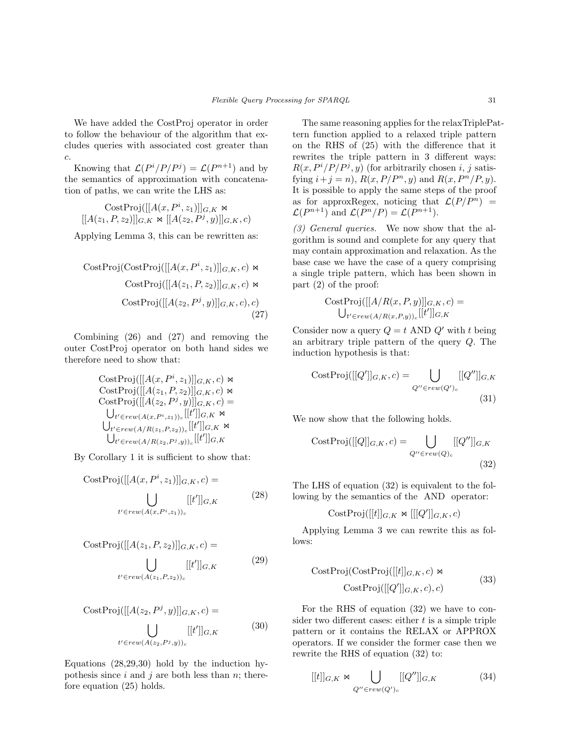We have added the CostProj operator in order to follow the behaviour of the algorithm that excludes queries with associated cost greater than c.

Knowing that  $\mathcal{L}(P^i/P/P^j) = \mathcal{L}(P^{n+1})$  and by the semantics of approximation with concatenation of paths, we can write the LHS as:

CostProj([[A(x, P<sup>i</sup>, z<sub>1</sub>)]]<sub>G,K</sub> 
$$
\Join
$$
  
[[A(z<sub>1</sub>, P, z<sub>2</sub>)]]<sub>G,K</sub>  $\Join$  [[A(z<sub>2</sub>, P<sup>j</sup>, y)]]<sub>G,K</sub>, c)

Applying Lemma 3, this can be rewritten as:

CostProj(CostProj([[A(x, P<sup>i</sup>, z<sub>1</sub>)]]<sub>G,K</sub>, c) 
$$
\bowtie
$$
 CostProj([[A(z<sub>1</sub>, P, z<sub>2</sub>)]]<sub>G,K</sub>, c)  $\bowtie$  CostProj([[A(z<sub>2</sub>, P<sup>j</sup>, y)]]<sub>G,K</sub>, c), c) (27)

Combining (26) and (27) and removing the outer CostProj operator on both hand sides we therefore need to show that:

CostProj([[A(x, P<sup>i</sup>, z<sub>1</sub>)]]<sub>G,K</sub>, c) 
$$
\bowtie
$$
  
\nCostProj([[A(z<sub>1</sub>, P, z<sub>2</sub>)]]<sub>G,K</sub>, c)  $\bowtie$   
\nCostProj([[A(z<sub>2</sub>, P<sup>j</sup>, y)]]<sub>G,K</sub>, c) =  
\n $\bigcup_{t' \in rew(A(x, Pi, z1))_c}$ [[t']]<sub>G,K</sub>  $\bowtie$   
\n $\bigcup_{t' \in rew(A/R(z1, P, z2))_c}$ [[t']]<sub>G,K</sub>  $\bowtie$   
\n $\bigcup_{t' \in rew(A/R(z2, Pj, y))_c}$ [[t']]<sub>G,K</sub>

By Corollary 1 it is sufficient to show that:

$$
CostProj([[A(x, Pi, z1)]]_{G,K}, c) =
$$

$$
\bigcup_{t' \in rew(A(x, Pi, z1))_c} [[t']]_{G,K}
$$
(28)

$$
CostProj([[A(z1, P, z2)]]_{G,K}, c) =
$$

$$
\bigcup_{t' \in rew(A(z1, P, z2))_{c}} [[t']]_{G,K}
$$
(29)

$$
CostProj([[A(z2, Pj, y)]]G,K, c) =
$$

$$
\bigcup_{t' \in rew(A(z2, Pj, y))c} [[t']]G,K (30)
$$

Equations (28,29,30) hold by the induction hypothesis since  $i$  and  $j$  are both less than  $n$ ; therefore equation (25) holds.

The same reasoning applies for the relaxTriplePattern function applied to a relaxed triple pattern on the RHS of (25) with the difference that it rewrites the triple pattern in 3 different ways:  $R(x, P^{i}/P/P^{j}, y)$  (for arbitrarily chosen i, j satisfying  $i + j = n$ ,  $R(x, P/P^n, y)$  and  $R(x, P^n/P, y)$ . It is possible to apply the same steps of the proof as for approxRegex, noticing that  $\mathcal{L}(P/P^n)$  =  $\mathcal{L}(P^{n+1})$  and  $\mathcal{L}(P^n/P) = \mathcal{L}(P^{n+1})$ .

(3) General queries. We now show that the algorithm is sound and complete for any query that may contain approximation and relaxation. As the base case we have the case of a query comprising a single triple pattern, which has been shown in part (2) of the proof:

$$
\text{CostProj}([[A/R(x, P, y)]]_{G,K}, c) = \bigcup_{t' \in \text{rew}(A/R(x, P, y))_c} [[t']]_{G,K}
$$

Consider now a query  $Q = t$  AND  $Q'$  with t being an arbitrary triple pattern of the query Q. The induction hypothesis is that:

$$
CostProj([[Q']]_{G,K}, c) = \bigcup_{Q'' \in rew(Q')_c} [[Q'']]_{G,K}
$$
\n(31)

We now show that the following holds.

$$
CostProj([[Q]]_{G,K}, c) = \bigcup_{Q'' \in rew(Q)_c} [[Q'']]_{G,K}
$$
\n(32)

The LHS of equation (32) is equivalent to the following by the semantics of the AND operator:

$$
CostProj([[t]]_{G,K} \Join [[[Q']]_{G,K}, c)
$$

Applying Lemma 3 we can rewrite this as follows:

$$
CostProj(CostProj([[t]]_{G,K}, c) \bowtie
$$
  
 
$$
CostProj([[Q']]_{G,K}, c), c)
$$
 (33)

For the RHS of equation (32) we have to consider two different cases: either  $t$  is a simple triple pattern or it contains the RELAX or APPROX operators. If we consider the former case then we rewrite the RHS of equation (32) to:

$$
[[t]]_{G,K} \bowtie \bigcup_{Q'' \in rew(Q')_c} [[Q'']]_{G,K} \tag{34}
$$